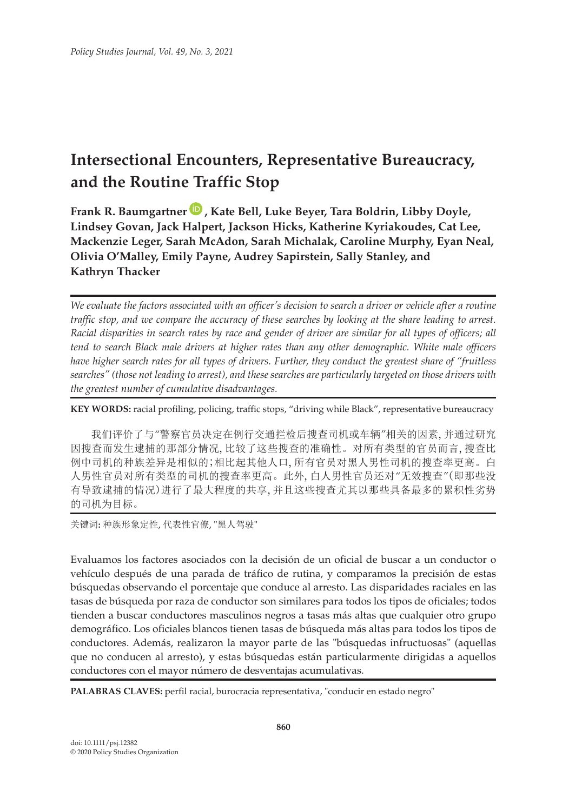# **Intersectional Encounters, Representative Bureaucracy, and the Routine Traffic Stop**

**Frank R. Baumgartner , Kate Bell, Luke Beyer, Tara Boldrin, Libby Doyle, Lindsey Govan, Jack Halpert, Jackson Hicks, Katherine Kyriakoudes, Cat Lee, Mackenzie Leger, Sarah McAdon, Sarah Michalak, Caroline Murphy, Eyan Neal, Olivia O'Malley, Emily Payne, Audrey Sapirstein, Sally Stanley, and Kathryn Thacker**

*We evaluate the factors associated with an officer's decision to search a driver or vehicle after a routine traffic stop, and we compare the accuracy of these searches by looking at the share leading to arrest. Racial disparities in search rates by race and gender of driver are similar for all types of officers; all tend to search Black male drivers at higher rates than any other demographic. White male officers have higher search rates for all types of drivers. Further, they conduct the greatest share of "fruitless searches" (those not leading to arrest), and these searches are particularly targeted on those drivers with the greatest number of cumulative disadvantages.*

**KEY WORDS:** racial profiling, policing, traffic stops, "driving while Black", representative bureaucracy

我们评价了与*"*警察官员决定在例行交通拦检后搜查司机或车辆*"*相关的因素,并通过研究 因搜查而发生逮捕的那部分情况,比较了这些搜查的准确性。对所有类型的官员而言,搜查比 例中司机的种族差异是相似的;相比起其他人口,所有官员对黑人男性司机的搜查率更高。白 人男性官员对所有类型的司机的搜查率更高。此外,白人男性官员还对*"*无效搜查*"*(即那些没 有导致逮捕的情况)进行了最大程度的共享,并且这些搜查尤其以那些具备最多的累积性劣势 的司机为目标。

关键词**:** 种族形象定性, 代表性官僚, "黑人驾驶"

Evaluamos los factores asociados con la decisión de un oficial de buscar a un conductor o vehículo después de una parada de tráfico de rutina, y comparamos la precisión de estas búsquedas observando el porcentaje que conduce al arresto. Las disparidades raciales en las tasas de búsqueda por raza de conductor son similares para todos los tipos de oficiales; todos tienden a buscar conductores masculinos negros a tasas más altas que cualquier otro grupo demográfico. Los oficiales blancos tienen tasas de búsqueda más altas para todos los tipos de conductores. Además, realizaron la mayor parte de las "búsquedas infructuosas" (aquellas que no conducen al arresto), y estas búsquedas están particularmente dirigidas a aquellos conductores con el mayor número de desventajas acumulativas.

**PALABRAS CLAVES:** perfil racial, burocracia representativa, "conducir en estado negro"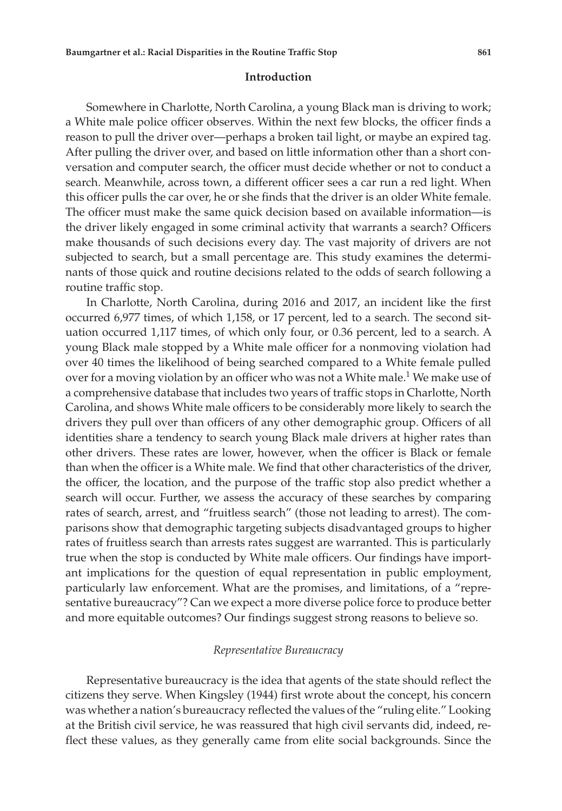## **Introduction**

Somewhere in Charlotte, North Carolina, a young Black man is driving to work; a White male police officer observes. Within the next few blocks, the officer finds a reason to pull the driver over—perhaps a broken tail light, or maybe an expired tag. After pulling the driver over, and based on little information other than a short conversation and computer search, the officer must decide whether or not to conduct a search. Meanwhile, across town, a different officer sees a car run a red light. When this officer pulls the car over, he or she finds that the driver is an older White female. The officer must make the same quick decision based on available information—is the driver likely engaged in some criminal activity that warrants a search? Officers make thousands of such decisions every day. The vast majority of drivers are not subjected to search, but a small percentage are. This study examines the determinants of those quick and routine decisions related to the odds of search following a routine traffic stop.

In Charlotte, North Carolina, during 2016 and 2017, an incident like the first occurred 6,977 times, of which 1,158, or 17 percent, led to a search. The second situation occurred 1,117 times, of which only four, or 0.36 percent, led to a search. A young Black male stopped by a White male officer for a nonmoving violation had over 40 times the likelihood of being searched compared to a White female pulled over for a moving violation by an officer who was not a White male.<sup>1</sup> We make use of a comprehensive database that includes two years of traffic stops in Charlotte, North Carolina, and shows White male officers to be considerably more likely to search the drivers they pull over than officers of any other demographic group. Officers of all identities share a tendency to search young Black male drivers at higher rates than other drivers. These rates are lower, however, when the officer is Black or female than when the officer is a White male. We find that other characteristics of the driver, the officer, the location, and the purpose of the traffic stop also predict whether a search will occur. Further, we assess the accuracy of these searches by comparing rates of search, arrest, and "fruitless search" (those not leading to arrest). The comparisons show that demographic targeting subjects disadvantaged groups to higher rates of fruitless search than arrests rates suggest are warranted. This is particularly true when the stop is conducted by White male officers. Our findings have important implications for the question of equal representation in public employment, particularly law enforcement. What are the promises, and limitations, of a "representative bureaucracy"? Can we expect a more diverse police force to produce better and more equitable outcomes? Our findings suggest strong reasons to believe so.

## *Representative Bureaucracy*

Representative bureaucracy is the idea that agents of the state should reflect the citizens they serve. When Kingsley (1944) first wrote about the concept, his concern was whether a nation's bureaucracy reflected the values of the "ruling elite." Looking at the British civil service, he was reassured that high civil servants did, indeed, reflect these values, as they generally came from elite social backgrounds. Since the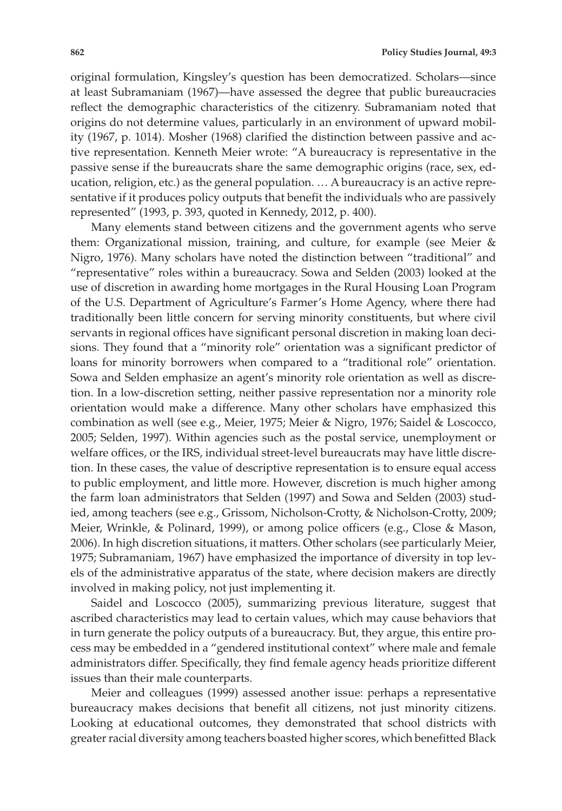original formulation, Kingsley's question has been democratized. Scholars—since at least Subramaniam (1967)—have assessed the degree that public bureaucracies reflect the demographic characteristics of the citizenry. Subramaniam noted that origins do not determine values, particularly in an environment of upward mobility (1967, p. 1014). Mosher (1968) clarified the distinction between passive and active representation. Kenneth Meier wrote: "A bureaucracy is representative in the passive sense if the bureaucrats share the same demographic origins (race, sex, education, religion, etc.) as the general population. … A bureaucracy is an active representative if it produces policy outputs that benefit the individuals who are passively represented" (1993, p. 393, quoted in Kennedy, 2012, p. 400).

Many elements stand between citizens and the government agents who serve them: Organizational mission, training, and culture, for example (see Meier & Nigro, 1976). Many scholars have noted the distinction between "traditional" and "representative" roles within a bureaucracy. Sowa and Selden (2003) looked at the use of discretion in awarding home mortgages in the Rural Housing Loan Program of the U.S. Department of Agriculture's Farmer's Home Agency, where there had traditionally been little concern for serving minority constituents, but where civil servants in regional offices have significant personal discretion in making loan decisions. They found that a "minority role" orientation was a significant predictor of loans for minority borrowers when compared to a "traditional role" orientation. Sowa and Selden emphasize an agent's minority role orientation as well as discretion. In a low-discretion setting, neither passive representation nor a minority role orientation would make a difference. Many other scholars have emphasized this combination as well (see e.g., Meier, 1975; Meier & Nigro, 1976; Saidel & Loscocco, 2005; Selden, 1997). Within agencies such as the postal service, unemployment or welfare offices, or the IRS, individual street-level bureaucrats may have little discretion. In these cases, the value of descriptive representation is to ensure equal access to public employment, and little more. However, discretion is much higher among the farm loan administrators that Selden (1997) and Sowa and Selden (2003) studied, among teachers (see e.g., Grissom, Nicholson-Crotty, & Nicholson-Crotty, 2009; Meier, Wrinkle, & Polinard, 1999), or among police officers (e.g., Close & Mason, 2006). In high discretion situations, it matters. Other scholars (see particularly Meier, 1975; Subramaniam, 1967) have emphasized the importance of diversity in top levels of the administrative apparatus of the state, where decision makers are directly involved in making policy, not just implementing it.

Saidel and Loscocco (2005), summarizing previous literature, suggest that ascribed characteristics may lead to certain values, which may cause behaviors that in turn generate the policy outputs of a bureaucracy. But, they argue, this entire process may be embedded in a "gendered institutional context" where male and female administrators differ. Specifically, they find female agency heads prioritize different issues than their male counterparts.

Meier and colleagues (1999) assessed another issue: perhaps a representative bureaucracy makes decisions that benefit all citizens, not just minority citizens. Looking at educational outcomes, they demonstrated that school districts with greater racial diversity among teachers boasted higher scores, which benefitted Black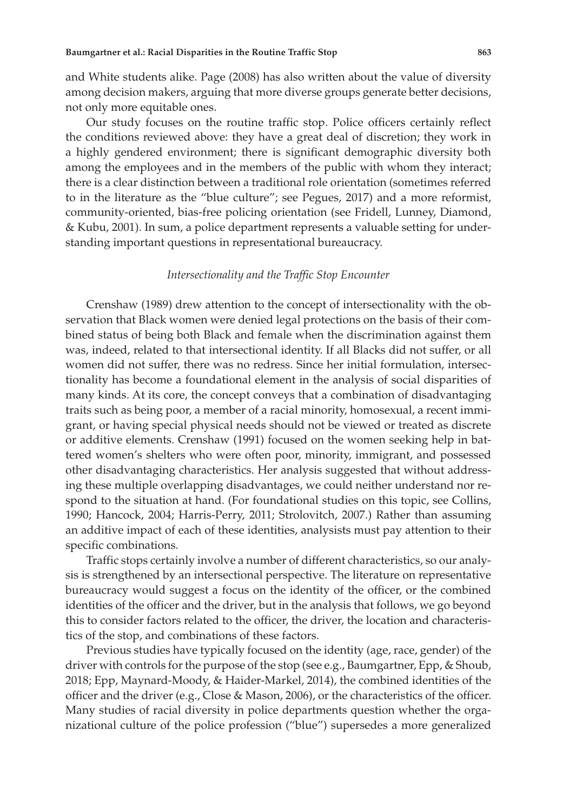and White students alike. Page (2008) has also written about the value of diversity among decision makers, arguing that more diverse groups generate better decisions, not only more equitable ones.

Our study focuses on the routine traffic stop. Police officers certainly reflect the conditions reviewed above: they have a great deal of discretion; they work in a highly gendered environment; there is significant demographic diversity both among the employees and in the members of the public with whom they interact; there is a clear distinction between a traditional role orientation (sometimes referred to in the literature as the "blue culture"; see Pegues, 2017) and a more reformist, community-oriented, bias-free policing orientation (see Fridell, Lunney, Diamond, & Kubu, 2001). In sum, a police department represents a valuable setting for understanding important questions in representational bureaucracy.

### *Intersectionality and the Traffic Stop Encounter*

Crenshaw (1989) drew attention to the concept of intersectionality with the observation that Black women were denied legal protections on the basis of their combined status of being both Black and female when the discrimination against them was, indeed, related to that intersectional identity. If all Blacks did not suffer, or all women did not suffer, there was no redress. Since her initial formulation, intersectionality has become a foundational element in the analysis of social disparities of many kinds. At its core, the concept conveys that a combination of disadvantaging traits such as being poor, a member of a racial minority, homosexual, a recent immigrant, or having special physical needs should not be viewed or treated as discrete or additive elements. Crenshaw (1991) focused on the women seeking help in battered women's shelters who were often poor, minority, immigrant, and possessed other disadvantaging characteristics. Her analysis suggested that without addressing these multiple overlapping disadvantages, we could neither understand nor respond to the situation at hand. (For foundational studies on this topic, see Collins, 1990; Hancock, 2004; Harris-Perry, 2011; Strolovitch, 2007.) Rather than assuming an additive impact of each of these identities, analysists must pay attention to their specific combinations.

Traffic stops certainly involve a number of different characteristics, so our analysis is strengthened by an intersectional perspective. The literature on representative bureaucracy would suggest a focus on the identity of the officer, or the combined identities of the officer and the driver, but in the analysis that follows, we go beyond this to consider factors related to the officer, the driver, the location and characteristics of the stop, and combinations of these factors.

Previous studies have typically focused on the identity (age, race, gender) of the driver with controls for the purpose of the stop (see e.g., Baumgartner, Epp, & Shoub, 2018; Epp, Maynard-Moody, & Haider-Markel, 2014), the combined identities of the officer and the driver (e.g., Close  $\&$  Mason, 2006), or the characteristics of the officer. Many studies of racial diversity in police departments question whether the organizational culture of the police profession ("blue") supersedes a more generalized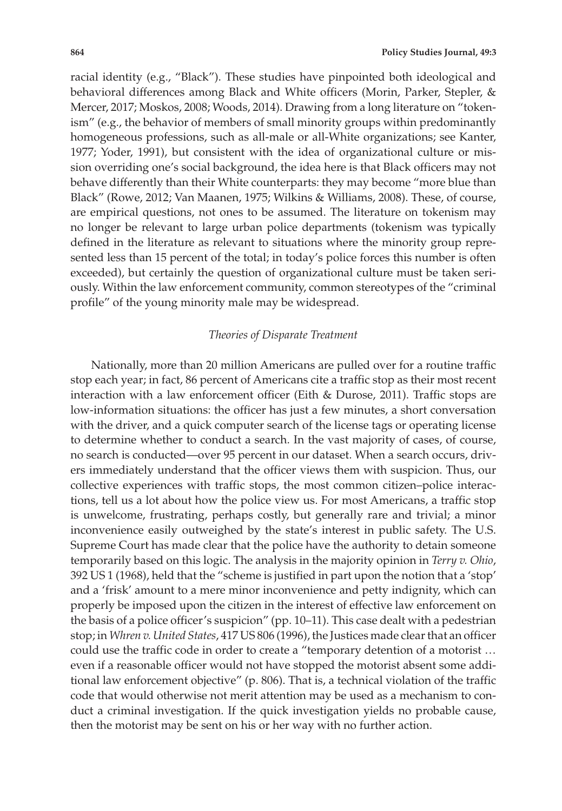racial identity (e.g., "Black"). These studies have pinpointed both ideological and behavioral differences among Black and White officers (Morin, Parker, Stepler, & Mercer, 2017; Moskos, 2008; Woods, 2014). Drawing from a long literature on "tokenism" (e.g., the behavior of members of small minority groups within predominantly homogeneous professions, such as all-male or all-White organizations; see Kanter, 1977; Yoder, 1991), but consistent with the idea of organizational culture or mission overriding one's social background, the idea here is that Black officers may not behave differently than their White counterparts: they may become "more blue than Black" (Rowe, 2012; Van Maanen, 1975; Wilkins & Williams, 2008). These, of course, are empirical questions, not ones to be assumed. The literature on tokenism may no longer be relevant to large urban police departments (tokenism was typically defined in the literature as relevant to situations where the minority group represented less than 15 percent of the total; in today's police forces this number is often exceeded), but certainly the question of organizational culture must be taken seriously. Within the law enforcement community, common stereotypes of the "criminal profile" of the young minority male may be widespread.

## *Theories of Disparate Treatment*

Nationally, more than 20 million Americans are pulled over for a routine traffic stop each year; in fact, 86 percent of Americans cite a traffic stop as their most recent interaction with a law enforcement officer (Eith & Durose, 2011). Traffic stops are low-information situations: the officer has just a few minutes, a short conversation with the driver, and a quick computer search of the license tags or operating license to determine whether to conduct a search. In the vast majority of cases, of course, no search is conducted—over 95 percent in our dataset. When a search occurs, drivers immediately understand that the officer views them with suspicion. Thus, our collective experiences with traffic stops, the most common citizen–police interactions, tell us a lot about how the police view us. For most Americans, a traffic stop is unwelcome, frustrating, perhaps costly, but generally rare and trivial; a minor inconvenience easily outweighed by the state's interest in public safety. The U.S. Supreme Court has made clear that the police have the authority to detain someone temporarily based on this logic. The analysis in the majority opinion in *Terry v. Ohio*, 392 US 1 (1968), held that the "scheme is justified in part upon the notion that a 'stop' and a 'frisk' amount to a mere minor inconvenience and petty indignity, which can properly be imposed upon the citizen in the interest of effective law enforcement on the basis of a police officer's suspicion" (pp. 10–11). This case dealt with a pedestrian stop; in *Whren v. United States*, 417 US 806 (1996), the Justices made clear that an officer could use the traffic code in order to create a "temporary detention of a motorist … even if a reasonable officer would not have stopped the motorist absent some additional law enforcement objective" (p. 806). That is, a technical violation of the traffic code that would otherwise not merit attention may be used as a mechanism to conduct a criminal investigation. If the quick investigation yields no probable cause, then the motorist may be sent on his or her way with no further action.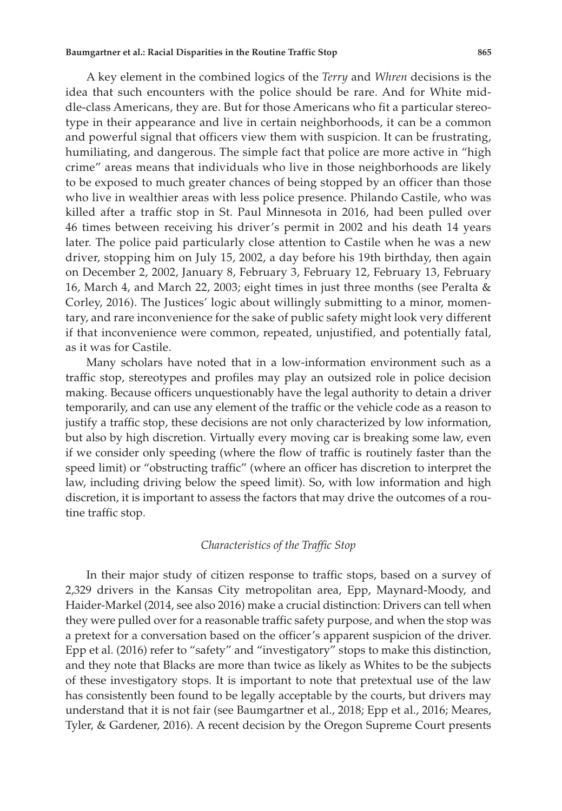A key element in the combined logics of the *Terry* and *Whren* decisions is the idea that such encounters with the police should be rare. And for White middle-class Americans, they are. But for those Americans who fit a particular stereotype in their appearance and live in certain neighborhoods, it can be a common and powerful signal that officers view them with suspicion. It can be frustrating, humiliating, and dangerous. The simple fact that police are more active in "high crime" areas means that individuals who live in those neighborhoods are likely to be exposed to much greater chances of being stopped by an officer than those who live in wealthier areas with less police presence. Philando Castile, who was killed after a traffic stop in St. Paul Minnesota in 2016, had been pulled over 46 times between receiving his driver's permit in 2002 and his death 14 years later. The police paid particularly close attention to Castile when he was a new driver, stopping him on July 15, 2002, a day before his 19th birthday, then again on December 2, 2002, January 8, February 3, February 12, February 13, February 16, March 4, and March 22, 2003; eight times in just three months (see Peralta & Corley, 2016). The Justices' logic about willingly submitting to a minor, momentary, and rare inconvenience for the sake of public safety might look very different if that inconvenience were common, repeated, unjustified, and potentially fatal, as it was for Castile.

Many scholars have noted that in a low-information environment such as a traffic stop, stereotypes and profiles may play an outsized role in police decision making. Because officers unquestionably have the legal authority to detain a driver temporarily, and can use any element of the traffic or the vehicle code as a reason to justify a traffic stop, these decisions are not only characterized by low information, but also by high discretion. Virtually every moving car is breaking some law, even if we consider only speeding (where the flow of traffic is routinely faster than the speed limit) or "obstructing traffic" (where an officer has discretion to interpret the law, including driving below the speed limit). So, with low information and high discretion, it is important to assess the factors that may drive the outcomes of a routine traffic stop.

## *Characteristics of the Traffic Stop*

In their major study of citizen response to traffic stops, based on a survey of 2,329 drivers in the Kansas City metropolitan area, Epp, Maynard-Moody, and Haider-Markel (2014, see also 2016) make a crucial distinction: Drivers can tell when they were pulled over for a reasonable traffic safety purpose, and when the stop was a pretext for a conversation based on the officer's apparent suspicion of the driver. Epp et al. (2016) refer to "safety" and "investigatory" stops to make this distinction, and they note that Blacks are more than twice as likely as Whites to be the subjects of these investigatory stops. It is important to note that pretextual use of the law has consistently been found to be legally acceptable by the courts, but drivers may understand that it is not fair (see Baumgartner et al., 2018; Epp et al., 2016; Meares, Tyler, & Gardener, 2016). A recent decision by the Oregon Supreme Court presents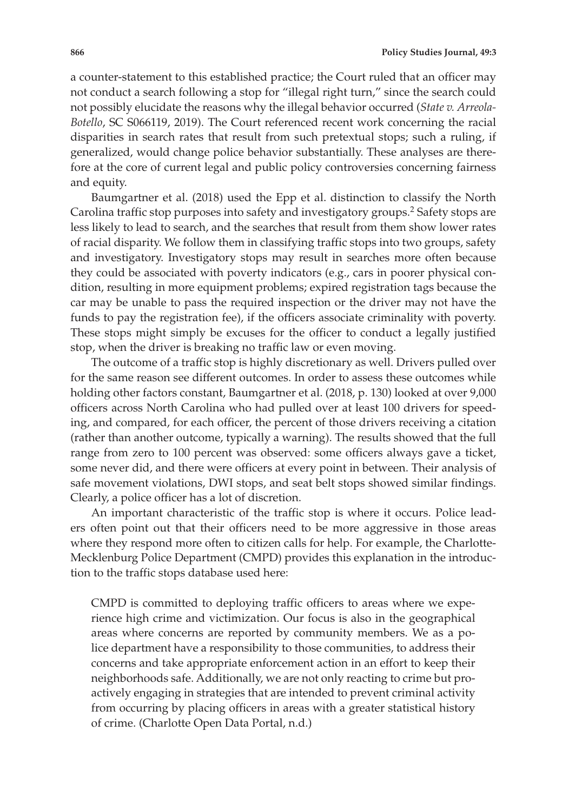a counter-statement to this established practice; the Court ruled that an officer may not conduct a search following a stop for "illegal right turn," since the search could not possibly elucidate the reasons why the illegal behavior occurred (*State v. Arreola-Botello*, SC S066119, 2019). The Court referenced recent work concerning the racial disparities in search rates that result from such pretextual stops; such a ruling, if generalized, would change police behavior substantially. These analyses are therefore at the core of current legal and public policy controversies concerning fairness and equity.

Baumgartner et al. (2018) used the Epp et al. distinction to classify the North Carolina traffic stop purposes into safety and investigatory groups.<sup>2</sup> Safety stops are less likely to lead to search, and the searches that result from them show lower rates of racial disparity. We follow them in classifying traffic stops into two groups, safety and investigatory. Investigatory stops may result in searches more often because they could be associated with poverty indicators (e.g., cars in poorer physical condition, resulting in more equipment problems; expired registration tags because the car may be unable to pass the required inspection or the driver may not have the funds to pay the registration fee), if the officers associate criminality with poverty. These stops might simply be excuses for the officer to conduct a legally justified stop, when the driver is breaking no traffic law or even moving.

The outcome of a traffic stop is highly discretionary as well. Drivers pulled over for the same reason see different outcomes. In order to assess these outcomes while holding other factors constant, Baumgartner et al. (2018, p. 130) looked at over 9,000 officers across North Carolina who had pulled over at least 100 drivers for speeding, and compared, for each officer, the percent of those drivers receiving a citation (rather than another outcome, typically a warning). The results showed that the full range from zero to 100 percent was observed: some officers always gave a ticket, some never did, and there were officers at every point in between. Their analysis of safe movement violations, DWI stops, and seat belt stops showed similar findings. Clearly, a police officer has a lot of discretion.

An important characteristic of the traffic stop is where it occurs. Police leaders often point out that their officers need to be more aggressive in those areas where they respond more often to citizen calls for help. For example, the Charlotte-Mecklenburg Police Department (CMPD) provides this explanation in the introduction to the traffic stops database used here:

CMPD is committed to deploying traffic officers to areas where we experience high crime and victimization. Our focus is also in the geographical areas where concerns are reported by community members. We as a police department have a responsibility to those communities, to address their concerns and take appropriate enforcement action in an effort to keep their neighborhoods safe. Additionally, we are not only reacting to crime but proactively engaging in strategies that are intended to prevent criminal activity from occurring by placing officers in areas with a greater statistical history of crime. (Charlotte Open Data Portal, n.d.)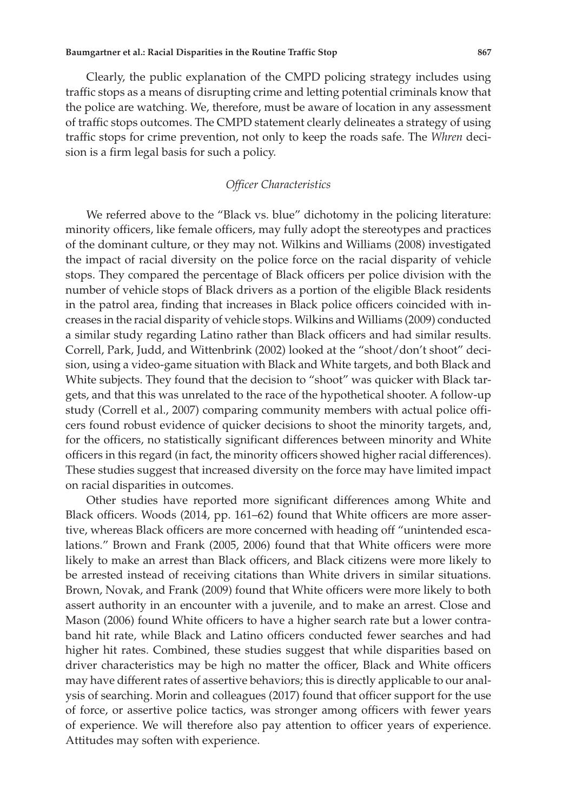Clearly, the public explanation of the CMPD policing strategy includes using traffic stops as a means of disrupting crime and letting potential criminals know that the police are watching. We, therefore, must be aware of location in any assessment of traffic stops outcomes. The CMPD statement clearly delineates a strategy of using traffic stops for crime prevention, not only to keep the roads safe. The *Whren* decision is a firm legal basis for such a policy.

## *Officer Characteristics*

We referred above to the "Black vs. blue" dichotomy in the policing literature: minority officers, like female officers, may fully adopt the stereotypes and practices of the dominant culture, or they may not. Wilkins and Williams (2008) investigated the impact of racial diversity on the police force on the racial disparity of vehicle stops. They compared the percentage of Black officers per police division with the number of vehicle stops of Black drivers as a portion of the eligible Black residents in the patrol area, finding that increases in Black police officers coincided with increases in the racial disparity of vehicle stops. Wilkins and Williams (2009) conducted a similar study regarding Latino rather than Black officers and had similar results. Correll, Park, Judd, and Wittenbrink (2002) looked at the "shoot/don't shoot" decision, using a video-game situation with Black and White targets, and both Black and White subjects. They found that the decision to "shoot" was quicker with Black targets, and that this was unrelated to the race of the hypothetical shooter. A follow-up study (Correll et al., 2007) comparing community members with actual police officers found robust evidence of quicker decisions to shoot the minority targets, and, for the officers, no statistically significant differences between minority and White officers in this regard (in fact, the minority officers showed higher racial differences). These studies suggest that increased diversity on the force may have limited impact on racial disparities in outcomes.

Other studies have reported more significant differences among White and Black officers. Woods (2014, pp. 161–62) found that White officers are more assertive, whereas Black officers are more concerned with heading off "unintended escalations." Brown and Frank (2005, 2006) found that that White officers were more likely to make an arrest than Black officers, and Black citizens were more likely to be arrested instead of receiving citations than White drivers in similar situations. Brown, Novak, and Frank (2009) found that White officers were more likely to both assert authority in an encounter with a juvenile, and to make an arrest. Close and Mason (2006) found White officers to have a higher search rate but a lower contraband hit rate, while Black and Latino officers conducted fewer searches and had higher hit rates. Combined, these studies suggest that while disparities based on driver characteristics may be high no matter the officer, Black and White officers may have different rates of assertive behaviors; this is directly applicable to our analysis of searching. Morin and colleagues (2017) found that officer support for the use of force, or assertive police tactics, was stronger among officers with fewer years of experience. We will therefore also pay attention to officer years of experience. Attitudes may soften with experience.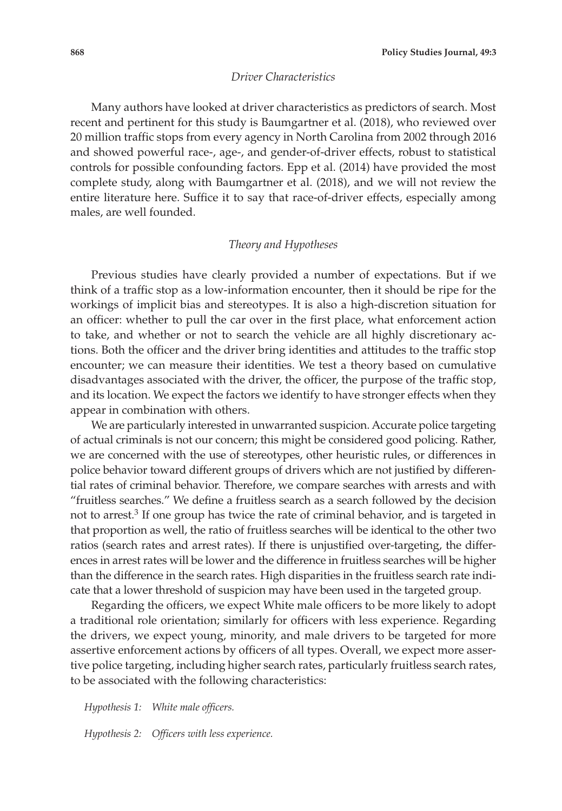#### *Driver Characteristics*

Many authors have looked at driver characteristics as predictors of search. Most recent and pertinent for this study is Baumgartner et al. (2018), who reviewed over 20 million traffic stops from every agency in North Carolina from 2002 through 2016 and showed powerful race-, age-, and gender-of-driver effects, robust to statistical controls for possible confounding factors. Epp et al. (2014) have provided the most complete study, along with Baumgartner et al. (2018), and we will not review the entire literature here. Suffice it to say that race-of-driver effects, especially among males, are well founded.

### *Theory and Hypotheses*

Previous studies have clearly provided a number of expectations. But if we think of a traffic stop as a low-information encounter, then it should be ripe for the workings of implicit bias and stereotypes. It is also a high-discretion situation for an officer: whether to pull the car over in the first place, what enforcement action to take, and whether or not to search the vehicle are all highly discretionary actions. Both the officer and the driver bring identities and attitudes to the traffic stop encounter; we can measure their identities. We test a theory based on cumulative disadvantages associated with the driver, the officer, the purpose of the traffic stop, and its location. We expect the factors we identify to have stronger effects when they appear in combination with others.

We are particularly interested in unwarranted suspicion. Accurate police targeting of actual criminals is not our concern; this might be considered good policing. Rather, we are concerned with the use of stereotypes, other heuristic rules, or differences in police behavior toward different groups of drivers which are not justified by differential rates of criminal behavior. Therefore, we compare searches with arrests and with "fruitless searches." We define a fruitless search as a search followed by the decision not to arrest.<sup>3</sup> If one group has twice the rate of criminal behavior, and is targeted in that proportion as well, the ratio of fruitless searches will be identical to the other two ratios (search rates and arrest rates). If there is unjustified over-targeting, the differences in arrest rates will be lower and the difference in fruitless searches will be higher than the difference in the search rates. High disparities in the fruitless search rate indicate that a lower threshold of suspicion may have been used in the targeted group.

Regarding the officers, we expect White male officers to be more likely to adopt a traditional role orientation; similarly for officers with less experience. Regarding the drivers, we expect young, minority, and male drivers to be targeted for more assertive enforcement actions by officers of all types. Overall, we expect more assertive police targeting, including higher search rates, particularly fruitless search rates, to be associated with the following characteristics:

*Hypothesis 1: White male officers.*

*Hypothesis 2: Officers with less experience.*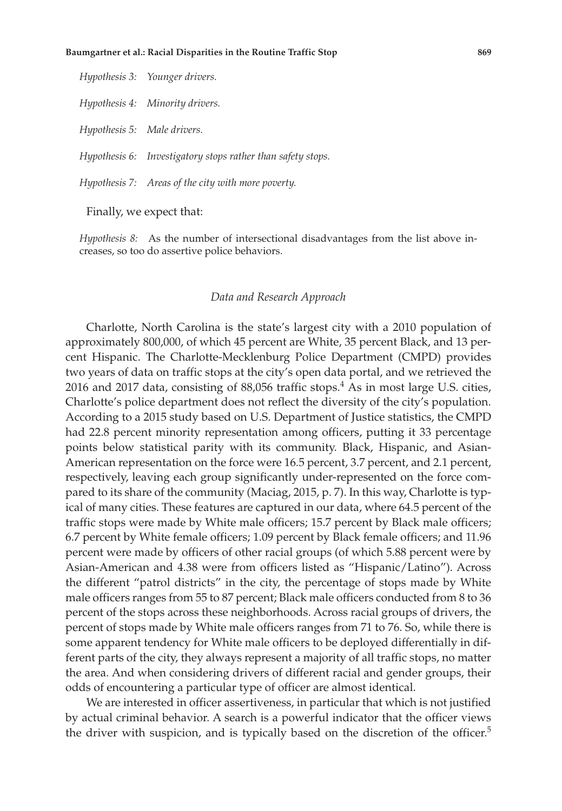*Hypothesis 3: Younger drivers. Hypothesis 4: Minority drivers. Hypothesis 5: Male drivers. Hypothesis 6: Investigatory stops rather than safety stops. Hypothesis 7: Areas of the city with more poverty.*

Finally, we expect that:

*Hypothesis 8:* As the number of intersectional disadvantages from the list above increases, so too do assertive police behaviors.

### *Data and Research Approach*

Charlotte, North Carolina is the state's largest city with a 2010 population of approximately 800,000, of which 45 percent are White, 35 percent Black, and 13 percent Hispanic. The Charlotte-Mecklenburg Police Department (CMPD) provides two years of data on traffic stops at the city's open data portal, and we retrieved the 2016 and 2017 data, consisting of  $88,056$  traffic stops.<sup>4</sup> As in most large U.S. cities, Charlotte's police department does not reflect the diversity of the city's population. According to a 2015 study based on U.S. Department of Justice statistics, the CMPD had 22.8 percent minority representation among officers, putting it 33 percentage points below statistical parity with its community. Black, Hispanic, and Asian-American representation on the force were 16.5 percent, 3.7 percent, and 2.1 percent, respectively, leaving each group significantly under-represented on the force compared to its share of the community (Maciag, 2015, p. 7). In this way, Charlotte is typical of many cities. These features are captured in our data, where 64.5 percent of the traffic stops were made by White male officers; 15.7 percent by Black male officers; 6.7 percent by White female officers; 1.09 percent by Black female officers; and 11.96 percent were made by officers of other racial groups (of which 5.88 percent were by Asian-American and 4.38 were from officers listed as "Hispanic/Latino"). Across the different "patrol districts" in the city, the percentage of stops made by White male officers ranges from 55 to 87 percent; Black male officers conducted from 8 to 36 percent of the stops across these neighborhoods. Across racial groups of drivers, the percent of stops made by White male officers ranges from 71 to 76. So, while there is some apparent tendency for White male officers to be deployed differentially in different parts of the city, they always represent a majority of all traffic stops, no matter the area. And when considering drivers of different racial and gender groups, their odds of encountering a particular type of officer are almost identical.

We are interested in officer assertiveness, in particular that which is not justified by actual criminal behavior. A search is a powerful indicator that the officer views the driver with suspicion, and is typically based on the discretion of the officer.<sup>5</sup>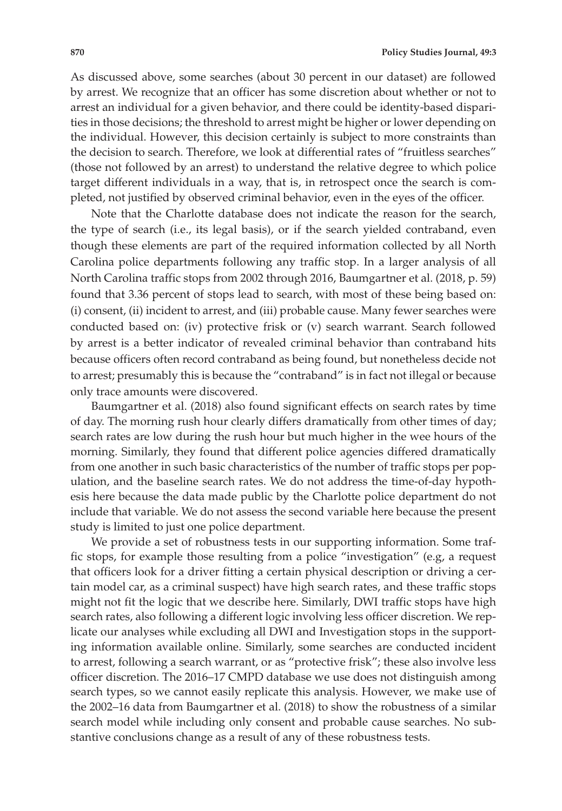As discussed above, some searches (about 30 percent in our dataset) are followed by arrest. We recognize that an officer has some discretion about whether or not to arrest an individual for a given behavior, and there could be identity-based disparities in those decisions; the threshold to arrest might be higher or lower depending on the individual. However, this decision certainly is subject to more constraints than the decision to search. Therefore, we look at differential rates of "fruitless searches" (those not followed by an arrest) to understand the relative degree to which police target different individuals in a way, that is, in retrospect once the search is completed, not justified by observed criminal behavior, even in the eyes of the officer.

Note that the Charlotte database does not indicate the reason for the search, the type of search (i.e., its legal basis), or if the search yielded contraband, even though these elements are part of the required information collected by all North Carolina police departments following any traffic stop. In a larger analysis of all North Carolina traffic stops from 2002 through 2016, Baumgartner et al. (2018, p. 59) found that 3.36 percent of stops lead to search, with most of these being based on: (i) consent, (ii) incident to arrest, and (iii) probable cause. Many fewer searches were conducted based on: (iv) protective frisk or (v) search warrant. Search followed by arrest is a better indicator of revealed criminal behavior than contraband hits because officers often record contraband as being found, but nonetheless decide not to arrest; presumably this is because the "contraband" is in fact not illegal or because only trace amounts were discovered.

Baumgartner et al. (2018) also found significant effects on search rates by time of day. The morning rush hour clearly differs dramatically from other times of day; search rates are low during the rush hour but much higher in the wee hours of the morning. Similarly, they found that different police agencies differed dramatically from one another in such basic characteristics of the number of traffic stops per population, and the baseline search rates. We do not address the time-of-day hypothesis here because the data made public by the Charlotte police department do not include that variable. We do not assess the second variable here because the present study is limited to just one police department.

We provide a set of robustness tests in our supporting information. Some traffic stops, for example those resulting from a police "investigation" (e.g, a request that officers look for a driver fitting a certain physical description or driving a certain model car, as a criminal suspect) have high search rates, and these traffic stops might not fit the logic that we describe here. Similarly, DWI traffic stops have high search rates, also following a different logic involving less officer discretion. We replicate our analyses while excluding all DWI and Investigation stops in the supporting information available online. Similarly, some searches are conducted incident to arrest, following a search warrant, or as "protective frisk"; these also involve less officer discretion. The 2016–17 CMPD database we use does not distinguish among search types, so we cannot easily replicate this analysis. However, we make use of the 2002–16 data from Baumgartner et al. (2018) to show the robustness of a similar search model while including only consent and probable cause searches. No substantive conclusions change as a result of any of these robustness tests.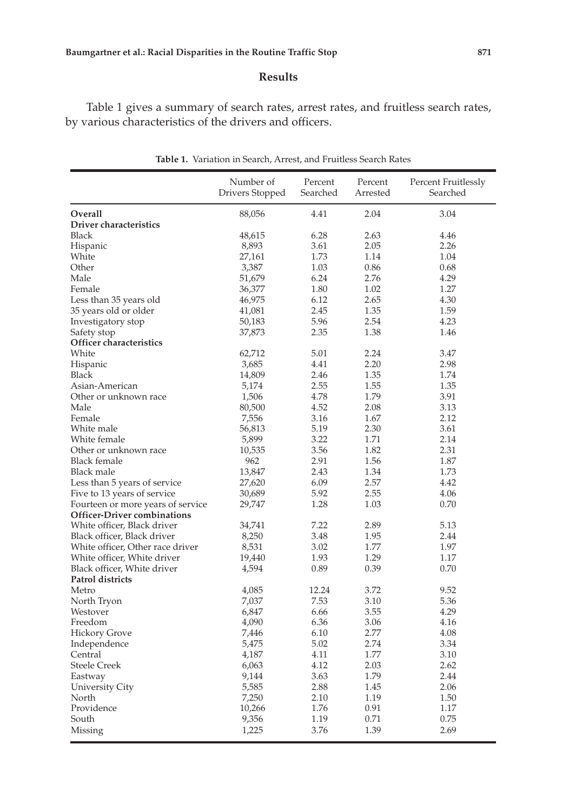# **Results**

Table 1 gives a summary of search rates, arrest rates, and fruitless search rates, by various characteristics of the drivers and officers.

|                                    | Number of<br>Drivers Stopped | Percent<br>Searched | Percent<br>Arrested | Percent Fruitlessly<br>Searched |
|------------------------------------|------------------------------|---------------------|---------------------|---------------------------------|
| Overall                            | 88,056                       | 4.41                | 2.04                | 3.04                            |
| Driver characteristics             |                              |                     |                     |                                 |
| <b>Black</b>                       | 48,615                       | 6.28                | 2.63                | 4.46                            |
| Hispanic                           | 8,893                        | 3.61                | 2.05                | 2.26                            |
| White                              | 27,161                       | 1.73                | 1.14                | 1.04                            |
| Other                              | 3,387                        | 1.03                | 0.86                | 0.68                            |
| Male                               | 51,679                       | 6.24                | 2.76                | 4.29                            |
| Female                             | 36,377                       | 1.80                | 1.02                | 1.27                            |
| Less than 35 years old             | 46,975                       | 6.12                | 2.65                | 4.30                            |
| 35 years old or older              | 41,081                       | 2.45                | 1.35                | 1.59                            |
| Investigatory stop                 | 50,183                       | 5.96                | 2.54                | 4.23                            |
| Safety stop                        | 37,873                       | 2.35                | 1.38                | 1.46                            |
| Officer characteristics            |                              |                     |                     |                                 |
| White                              | 62,712                       | 5.01                | 2.24                | 3.47                            |
| Hispanic                           | 3,685                        | 4.41                | 2.20                | 2.98                            |
| <b>Black</b>                       | 14,809                       | 2.46                | 1.35                | 1.74                            |
| Asian-American                     | 5,174                        | 2.55                | 1.55                | 1.35                            |
| Other or unknown race              | 1,506                        | 4.78                | 1.79                | 3.91                            |
| Male                               | 80,500                       | 4.52                | 2.08                | 3.13                            |
| Female                             | 7,556                        | 3.16                | 1.67                | 2.12                            |
| White male                         | 56,813                       | 5.19                | 2.30                | 3.61                            |
| White female                       | 5,899                        | 3.22                | 1.71                | 2.14                            |
| Other or unknown race              | 10,535                       | 3.56                | 1.82                | 2.31                            |
| <b>Black female</b>                | 962                          | 2.91                | 1.56                | 1.87                            |
| Black male                         | 13,847                       | 2.43                | 1.34                | 1.73                            |
| Less than 5 years of service       | 27,620                       | 6.09                | 2.57                | 4.42                            |
| Five to 13 years of service        | 30,689                       | 5.92                | 2.55                | 4.06                            |
| Fourteen or more years of service  | 29,747                       | 1.28                | 1.03                | 0.70                            |
| <b>Officer-Driver combinations</b> |                              |                     |                     |                                 |
| White officer, Black driver        | 34,741                       | 7.22                | 2.89                | 5.13                            |
| Black officer, Black driver        | 8,250                        | 3.48                | 1.95                | 2.44                            |
| White officer, Other race driver   | 8,531                        | 3.02                | 1.77                | 1.97                            |
| White officer, White driver        | 19,440                       | 1.93                | 1.29                | 1.17                            |
| Black officer, White driver        | 4,594                        | 0.89                | 0.39                | 0.70                            |
| Patrol districts                   |                              |                     |                     |                                 |
| Metro                              | 4,085                        | 12.24               | 3.72                | 9.52                            |
| North Tryon                        | 7,037                        | 7.53                | 3.10                | 5.36                            |
| Westover                           | 6,847                        | 6.66                | 3.55                | 4.29                            |
| Freedom                            | 4,090                        | 6.36                | 3.06                | 4.16                            |
| <b>Hickory Grove</b>               | 7,446                        | 6.10                | 2.77                | 4.08                            |
| Independence                       | 5,475                        | 5.02                | 2.74                | 3.34                            |
| Central                            | 4,187                        | 4.11                | 1.77                | 3.10                            |
| <b>Steele Creek</b>                | 6,063                        | 4.12                | 2.03                | 2.62                            |
| Eastway                            | 9,144                        | 3.63                | 1.79                | 2.44                            |
| <b>University City</b>             | 5,585                        | 2.88                | 1.45                | 2.06                            |
| North                              | 7,250                        | 2.10                | 1.19                | 1.50                            |
| Providence                         | 10,266                       | 1.76                | 0.91                | 1.17                            |
| South                              | 9,356                        | 1.19                | 0.71                | 0.75                            |
| Missing                            | 1,225                        | 3.76                | 1.39                | 2.69                            |

**Table 1.** Variation in Search, Arrest, and Fruitless Search Rates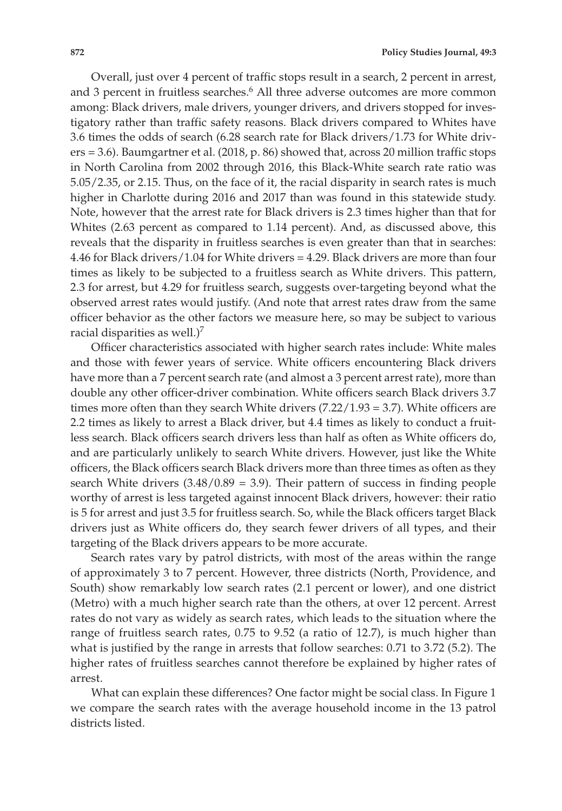Overall, just over 4 percent of traffic stops result in a search, 2 percent in arrest, and 3 percent in fruitless searches.<sup>6</sup> All three adverse outcomes are more common among: Black drivers, male drivers, younger drivers, and drivers stopped for investigatory rather than traffic safety reasons. Black drivers compared to Whites have 3.6 times the odds of search (6.28 search rate for Black drivers/1.73 for White drivers = 3.6). Baumgartner et al. (2018, p. 86) showed that, across 20 million traffic stops in North Carolina from 2002 through 2016, this Black-White search rate ratio was 5.05/2.35, or 2.15. Thus, on the face of it, the racial disparity in search rates is much higher in Charlotte during 2016 and 2017 than was found in this statewide study. Note, however that the arrest rate for Black drivers is 2.3 times higher than that for Whites (2.63 percent as compared to 1.14 percent). And, as discussed above, this reveals that the disparity in fruitless searches is even greater than that in searches: 4.46 for Black drivers/1.04 for White drivers = 4.29. Black drivers are more than four times as likely to be subjected to a fruitless search as White drivers. This pattern, 2.3 for arrest, but 4.29 for fruitless search, suggests over-targeting beyond what the observed arrest rates would justify. (And note that arrest rates draw from the same officer behavior as the other factors we measure here, so may be subject to various racial disparities as well.)<sup>7</sup>

Officer characteristics associated with higher search rates include: White males and those with fewer years of service. White officers encountering Black drivers have more than a 7 percent search rate (and almost a 3 percent arrest rate), more than double any other officer-driver combination. White officers search Black drivers 3.7 times more often than they search White drivers (7.22/1.93 = 3.7). White officers are 2.2 times as likely to arrest a Black driver, but 4.4 times as likely to conduct a fruitless search. Black officers search drivers less than half as often as White officers do, and are particularly unlikely to search White drivers. However, just like the White officers, the Black officers search Black drivers more than three times as often as they search White drivers  $(3.48/0.89 = 3.9)$ . Their pattern of success in finding people worthy of arrest is less targeted against innocent Black drivers, however: their ratio is 5 for arrest and just 3.5 for fruitless search. So, while the Black officers target Black drivers just as White officers do, they search fewer drivers of all types, and their targeting of the Black drivers appears to be more accurate.

Search rates vary by patrol districts, with most of the areas within the range of approximately 3 to 7 percent. However, three districts (North, Providence, and South) show remarkably low search rates (2.1 percent or lower), and one district (Metro) with a much higher search rate than the others, at over 12 percent. Arrest rates do not vary as widely as search rates, which leads to the situation where the range of fruitless search rates, 0.75 to 9.52 (a ratio of 12.7), is much higher than what is justified by the range in arrests that follow searches: 0.71 to 3.72 (5.2). The higher rates of fruitless searches cannot therefore be explained by higher rates of arrest.

What can explain these differences? One factor might be social class. In Figure 1 we compare the search rates with the average household income in the 13 patrol districts listed.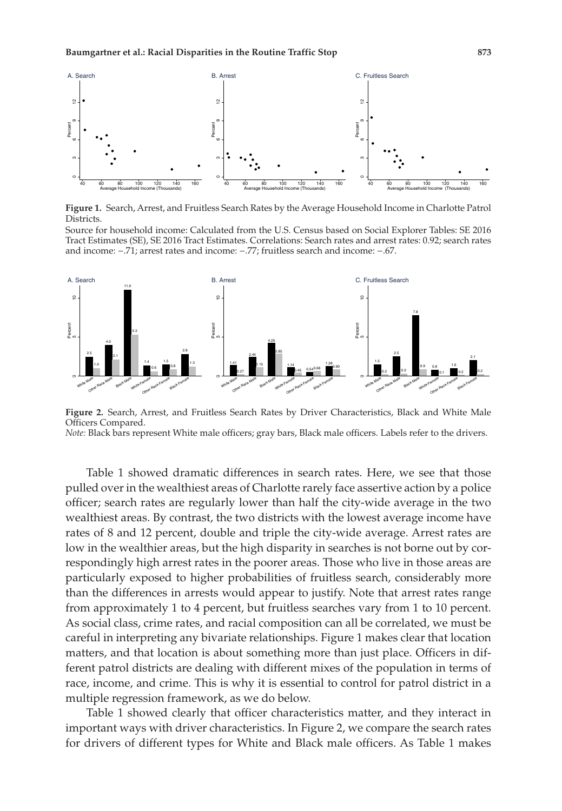

**Figure 1.** Search, Arrest, and Fruitless Search Rates by the Average Household Income in Charlotte Patrol Districts.

Source for household income: Calculated from the U.S. Census based on Social Explorer Tables: SE 2016 Tract Estimates (SE), SE 2016 Tract Estimates. Correlations: Search rates and arrest rates: 0.92; search rates and income: −.71; arrest rates and income: −.77; fruitless search and income: −.67.



**Figure 2.** Search, Arrest, and Fruitless Search Rates by Driver Characteristics, Black and White Male Officers Compared. *Note:* Black bars represent White male officers; gray bars, Black male officers. Labels refer to the drivers.

Table 1 showed dramatic differences in search rates. Here, we see that those pulled over in the wealthiest areas of Charlotte rarely face assertive action by a police officer; search rates are regularly lower than half the city-wide average in the two wealthiest areas. By contrast, the two districts with the lowest average income have rates of 8 and 12 percent, double and triple the city-wide average. Arrest rates are low in the wealthier areas, but the high disparity in searches is not borne out by correspondingly high arrest rates in the poorer areas. Those who live in those areas are particularly exposed to higher probabilities of fruitless search, considerably more than the differences in arrests would appear to justify. Note that arrest rates range from approximately 1 to 4 percent, but fruitless searches vary from 1 to 10 percent. As social class, crime rates, and racial composition can all be correlated, we must be careful in interpreting any bivariate relationships. Figure 1 makes clear that location matters, and that location is about something more than just place. Officers in different patrol districts are dealing with different mixes of the population in terms of race, income, and crime. This is why it is essential to control for patrol district in a multiple regression framework, as we do below.

Table 1 showed clearly that officer characteristics matter, and they interact in important ways with driver characteristics. In Figure 2, we compare the search rates for drivers of different types for White and Black male officers. As Table 1 makes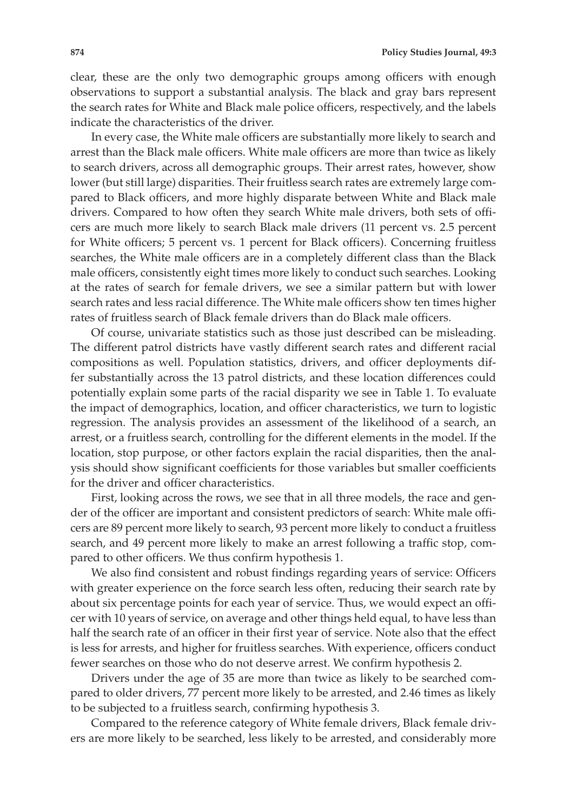clear, these are the only two demographic groups among officers with enough observations to support a substantial analysis. The black and gray bars represent the search rates for White and Black male police officers, respectively, and the labels indicate the characteristics of the driver.

In every case, the White male officers are substantially more likely to search and arrest than the Black male officers. White male officers are more than twice as likely to search drivers, across all demographic groups. Their arrest rates, however, show lower (but still large) disparities. Their fruitless search rates are extremely large compared to Black officers, and more highly disparate between White and Black male drivers. Compared to how often they search White male drivers, both sets of officers are much more likely to search Black male drivers (11 percent vs. 2.5 percent for White officers; 5 percent vs. 1 percent for Black officers). Concerning fruitless searches, the White male officers are in a completely different class than the Black male officers, consistently eight times more likely to conduct such searches. Looking at the rates of search for female drivers, we see a similar pattern but with lower search rates and less racial difference. The White male officers show ten times higher rates of fruitless search of Black female drivers than do Black male officers.

Of course, univariate statistics such as those just described can be misleading. The different patrol districts have vastly different search rates and different racial compositions as well. Population statistics, drivers, and officer deployments differ substantially across the 13 patrol districts, and these location differences could potentially explain some parts of the racial disparity we see in Table 1. To evaluate the impact of demographics, location, and officer characteristics, we turn to logistic regression. The analysis provides an assessment of the likelihood of a search, an arrest, or a fruitless search, controlling for the different elements in the model. If the location, stop purpose, or other factors explain the racial disparities, then the analysis should show significant coefficients for those variables but smaller coefficients for the driver and officer characteristics.

First, looking across the rows, we see that in all three models, the race and gender of the officer are important and consistent predictors of search: White male officers are 89 percent more likely to search, 93 percent more likely to conduct a fruitless search, and 49 percent more likely to make an arrest following a traffic stop, compared to other officers. We thus confirm hypothesis 1.

We also find consistent and robust findings regarding years of service: Officers with greater experience on the force search less often, reducing their search rate by about six percentage points for each year of service. Thus, we would expect an officer with 10 years of service, on average and other things held equal, to have less than half the search rate of an officer in their first year of service. Note also that the effect is less for arrests, and higher for fruitless searches. With experience, officers conduct fewer searches on those who do not deserve arrest. We confirm hypothesis 2.

Drivers under the age of 35 are more than twice as likely to be searched compared to older drivers, 77 percent more likely to be arrested, and 2.46 times as likely to be subjected to a fruitless search, confirming hypothesis 3.

Compared to the reference category of White female drivers, Black female drivers are more likely to be searched, less likely to be arrested, and considerably more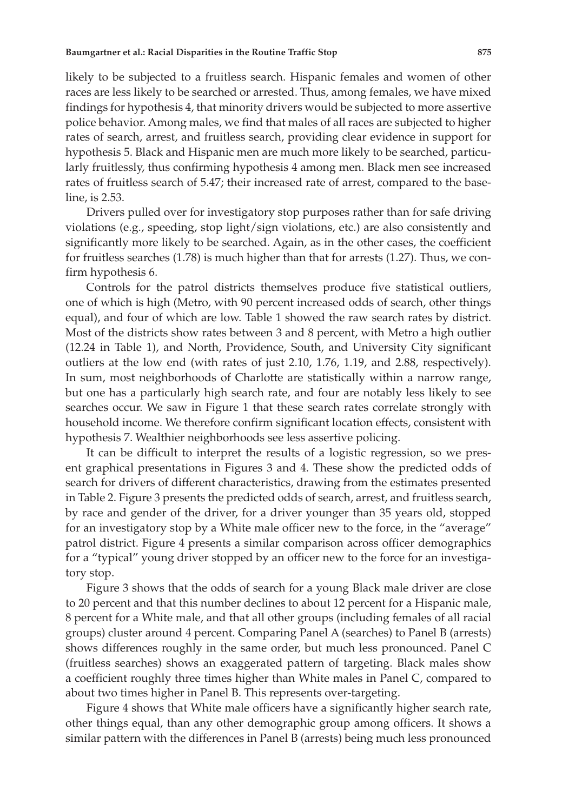likely to be subjected to a fruitless search. Hispanic females and women of other races are less likely to be searched or arrested. Thus, among females, we have mixed findings for hypothesis 4, that minority drivers would be subjected to more assertive police behavior. Among males, we find that males of all races are subjected to higher rates of search, arrest, and fruitless search, providing clear evidence in support for hypothesis 5. Black and Hispanic men are much more likely to be searched, particularly fruitlessly, thus confirming hypothesis 4 among men. Black men see increased rates of fruitless search of 5.47; their increased rate of arrest, compared to the baseline, is 2.53.

Drivers pulled over for investigatory stop purposes rather than for safe driving violations (e.g., speeding, stop light/sign violations, etc.) are also consistently and significantly more likely to be searched. Again, as in the other cases, the coefficient for fruitless searches (1.78) is much higher than that for arrests (1.27). Thus, we confirm hypothesis 6.

Controls for the patrol districts themselves produce five statistical outliers, one of which is high (Metro, with 90 percent increased odds of search, other things equal), and four of which are low. Table 1 showed the raw search rates by district. Most of the districts show rates between 3 and 8 percent, with Metro a high outlier (12.24 in Table 1), and North, Providence, South, and University City significant outliers at the low end (with rates of just 2.10, 1.76, 1.19, and 2.88, respectively). In sum, most neighborhoods of Charlotte are statistically within a narrow range, but one has a particularly high search rate, and four are notably less likely to see searches occur. We saw in Figure 1 that these search rates correlate strongly with household income. We therefore confirm significant location effects, consistent with hypothesis 7. Wealthier neighborhoods see less assertive policing.

It can be difficult to interpret the results of a logistic regression, so we present graphical presentations in Figures 3 and 4. These show the predicted odds of search for drivers of different characteristics, drawing from the estimates presented in Table 2. Figure 3 presents the predicted odds of search, arrest, and fruitless search, by race and gender of the driver, for a driver younger than 35 years old, stopped for an investigatory stop by a White male officer new to the force, in the "average" patrol district. Figure 4 presents a similar comparison across officer demographics for a "typical" young driver stopped by an officer new to the force for an investigatory stop.

Figure 3 shows that the odds of search for a young Black male driver are close to 20 percent and that this number declines to about 12 percent for a Hispanic male, 8 percent for a White male, and that all other groups (including females of all racial groups) cluster around 4 percent. Comparing Panel A (searches) to Panel B (arrests) shows differences roughly in the same order, but much less pronounced. Panel C (fruitless searches) shows an exaggerated pattern of targeting. Black males show a coefficient roughly three times higher than White males in Panel C, compared to about two times higher in Panel B. This represents over-targeting.

Figure 4 shows that White male officers have a significantly higher search rate, other things equal, than any other demographic group among officers. It shows a similar pattern with the differences in Panel B (arrests) being much less pronounced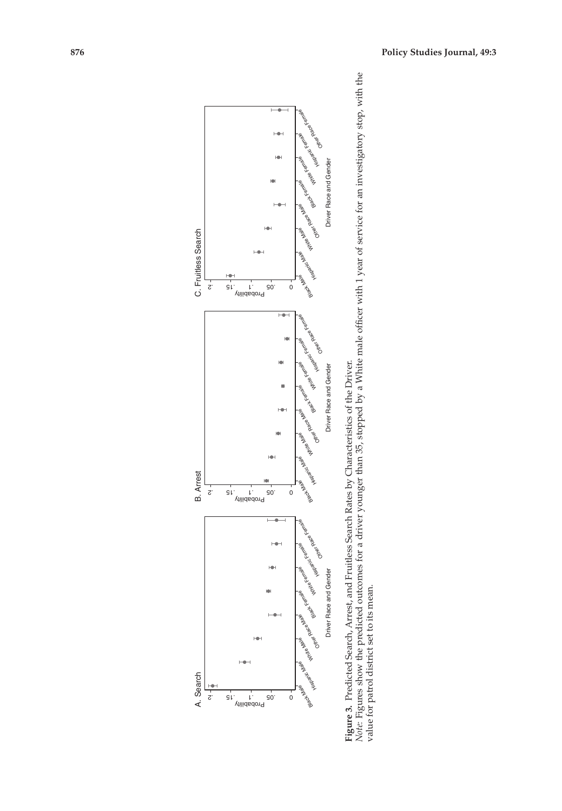



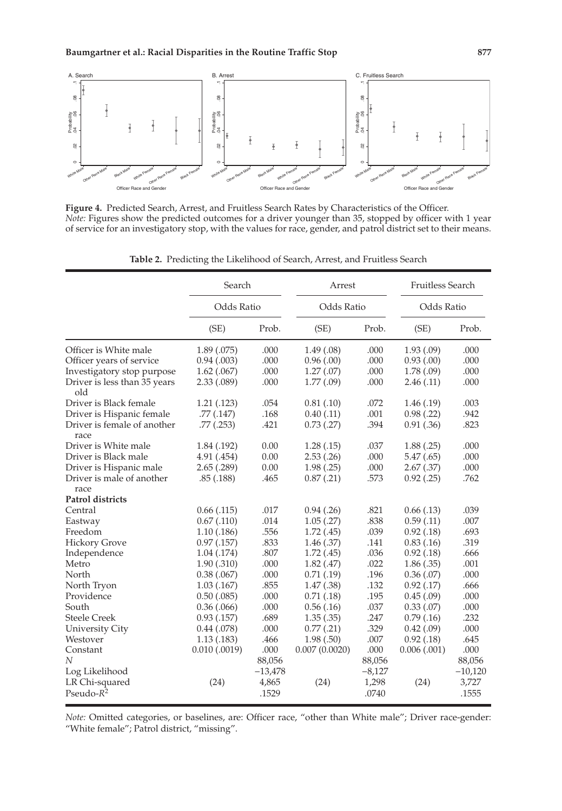

**Figure 4.** Predicted Search, Arrest, and Fruitless Search Rates by Characteristics of the Officer. *Note:* Figures show the predicted outcomes for a driver younger than 35, stopped by officer with 1 year of service for an investigatory stop, with the values for race, gender, and patrol district set to their means.

|                                     | Search<br>Odds Ratio |           | Arrest        |            | <b>Fruitless Search</b> |            |
|-------------------------------------|----------------------|-----------|---------------|------------|-------------------------|------------|
|                                     |                      |           |               | Odds Ratio |                         | Odds Ratio |
|                                     | (SE)                 | Prob.     | (SE)          | Prob.      | (SE)                    | Prob.      |
| Officer is White male               | 1.89(.075)           | .000      | 1.49(.08)     | .000       | 1.93(0.09)              | .000       |
| Officer years of service            | 0.94(0.003)          | .000      | 0.96(0.00)    | .000       | 0.93(0.00)              | .000       |
| Investigatory stop purpose          | $1.62$ $(.067)$      | .000      | 1.27(.07)     | .000       | 1.78(.09)               | .000       |
| Driver is less than 35 years<br>old | 2.33(.089)           | .000      | 1.77(.09)     | .000       | 2.46(0.11)              | .000       |
| Driver is Black female              | 1.21(.123)           | .054      | 0.81(0.10)    | .072       | 1.46(.19)               | .003       |
| Driver is Hispanic female           | .77(0.147)           | .168      | 0.40(0.11)    | .001       | 0.98(.22)               | .942       |
| Driver is female of another<br>race | .77(.253)            | .421      | 0.73(0.27)    | .394       | 0.91(.36)               | .823       |
| Driver is White male                | 1.84 (.192)          | 0.00      | 1.28(.15)     | .037       | 1.88(.25)               | .000       |
| Driver is Black male                | 4.91 (.454)          | 0.00      | 2.53(.26)     | .000       | 5.47(.65)               | .000       |
| Driver is Hispanic male             | 2.65(.289)           | 0.00      | 1.98(.25)     | .000       | 2.67(.37)               | .000       |
| Driver is male of another           | .85(.188)            | .465      | 0.87(0.21)    | .573       | 0.92(0.25)              | .762       |
| race                                |                      |           |               |            |                         |            |
| Patrol districts                    |                      |           |               |            |                         |            |
| Central                             | $0.66$ $(.115)$      | .017      | 0.94(0.26)    | .821       | 0.66(0.13)              | .039       |
| Eastway                             | 0.67(0.110)          | .014      | 1.05(.27)     | .838       | 0.59(0.11)              | .007       |
| Freedom                             | 1.10(0.186)          | .556      | 1.72(0.45)    | .039       | 0.92(0.18)              | .693       |
| <b>Hickory Grove</b>                | 0.97(0.157)          | .833      | 1.46(.37)     | .141       | 0.83(0.16)              | .319       |
| Independence                        | 1.04(0.174)          | .807      | 1.72(.45)     | .036       | 0.92(.18)               | .666       |
| Metro                               | 1.90(.310)           | .000      | 1.82(.47)     | .022       | 1.86(.35)               | .001       |
| North                               | 0.38(.067)           | .000      | 0.71(0.19)    | .196       | 0.36(.07)               | .000       |
| North Tryon                         | 1.03(0.167)          | .855      | 1.47(.38)     | .132       | 0.92(0.17)              | .666       |
| Providence                          | $0.50$ $(.085)$      | .000      | 0.71(0.18)    | .195       | 0.45(.09)               | .000       |
| South                               | 0.36(0.066)          | .000      | 0.56(.16)     | .037       | 0.33(0.07)              | .000       |
| <b>Steele Creek</b>                 | 0.93(0.157)          | .689      | 1.35(.35)     | .247       | 0.79(0.16)              | .232       |
| <b>University City</b>              | $0.44$ $(.078)$      | .000      | 0.77(0.21)    | .329       | 0.42(.09)               | .000       |
| Westover                            | 1.13(0.183)          | .466      | 1.98(.50)     | .007       | 0.92(0.18)              | .645       |
| Constant                            | $0.010$ $(.0019)$    | .000      | 0.007(0.0020) | .000       | 0.006(.001)             | .000       |
| N                                   |                      | 88,056    |               | 88,056     |                         | 88,056     |
| Log Likelihood                      |                      | $-13,478$ |               | $-8,127$   |                         | $-10,120$  |
| LR Chi-squared                      | (24)                 | 4,865     | (24)          | 1,298      | (24)                    | 3,727      |
| Pseudo- $R^2$                       |                      | .1529     |               | .0740      |                         | .1555      |

**Table 2.** Predicting the Likelihood of Search, Arrest, and Fruitless Search

*Note:* Omitted categories, or baselines, are: Officer race, "other than White male"; Driver race-gender: "White female"; Patrol district, "missing".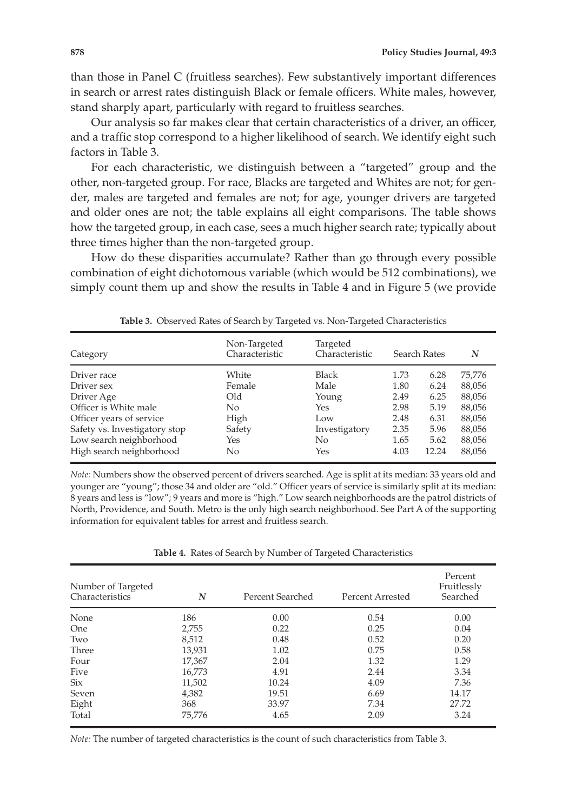than those in Panel C (fruitless searches). Few substantively important differences in search or arrest rates distinguish Black or female officers. White males, however, stand sharply apart, particularly with regard to fruitless searches.

Our analysis so far makes clear that certain characteristics of a driver, an officer, and a traffic stop correspond to a higher likelihood of search. We identify eight such factors in Table 3.

For each characteristic, we distinguish between a "targeted" group and the other, non-targeted group. For race, Blacks are targeted and Whites are not; for gender, males are targeted and females are not; for age, younger drivers are targeted and older ones are not; the table explains all eight comparisons. The table shows how the targeted group, in each case, sees a much higher search rate; typically about three times higher than the non-targeted group.

How do these disparities accumulate? Rather than go through every possible combination of eight dichotomous variable (which would be 512 combinations), we simply count them up and show the results in Table 4 and in Figure 5 (we provide

| Category                      | Non-Targeted<br>Characteristic | Targeted<br>Characteristic |      | <b>Search Rates</b> | N      |
|-------------------------------|--------------------------------|----------------------------|------|---------------------|--------|
| Driver race                   | White                          | <b>Black</b>               | 1.73 | 6.28                | 75,776 |
| Driver sex                    | Female                         | Male                       | 1.80 | 6.24                | 88,056 |
| Driver Age                    | $Q_{\rm dd}$                   | Young                      | 2.49 | 6.25                | 88,056 |
| Officer is White male         | N <sub>o</sub>                 | Yes                        | 2.98 | 5.19                | 88,056 |
| Officer years of service      | High                           | Low                        | 2.48 | 6.31                | 88,056 |
| Safety vs. Investigatory stop | Safety                         | Investigatory              | 2.35 | 5.96                | 88,056 |
| Low search neighborhood       | Yes                            | No                         | 1.65 | 5.62                | 88,056 |
| High search neighborhood      | No                             | Yes                        | 4.03 | 12.24               | 88,056 |

Table 3. Observed Rates of Search by Targeted vs. Non-Targeted Characteristics

*Note:* Numbers show the observed percent of drivers searched. Age is split at its median: 33 years old and younger are "young"; those 34 and older are "old." Officer years of service is similarly split at its median: 8 years and less is "low"; 9 years and more is "high." Low search neighborhoods are the patrol districts of North, Providence, and South. Metro is the only high search neighborhood. See Part A of the supporting information for equivalent tables for arrest and fruitless search.

**Table 4.** Rates of Search by Number of Targeted Characteristics

| Number of Targeted<br>Characteristics | N      | Percent Searched | Percent Arrested | Percent<br>Fruitlessly<br>Searched |
|---------------------------------------|--------|------------------|------------------|------------------------------------|
| None                                  | 186    | 0.00             | 0.54             | 0.00                               |
| One                                   | 2,755  | 0.22             | 0.25             | 0.04                               |
| Two                                   | 8,512  | 0.48             | 0.52             | 0.20                               |
| Three                                 | 13,931 | 1.02             | 0.75             | 0.58                               |
| Four                                  | 17,367 | 2.04             | 1.32             | 1.29                               |
| Five                                  | 16,773 | 4.91             | 2.44             | 3.34                               |
| <b>Six</b>                            | 11,502 | 10.24            | 4.09             | 7.36                               |
| Seven                                 | 4,382  | 19.51            | 6.69             | 14.17                              |
| Eight                                 | 368    | 33.97            | 7.34             | 27.72                              |
| Total                                 | 75,776 | 4.65             | 2.09             | 3.24                               |

*Note:* The number of targeted characteristics is the count of such characteristics from Table 3.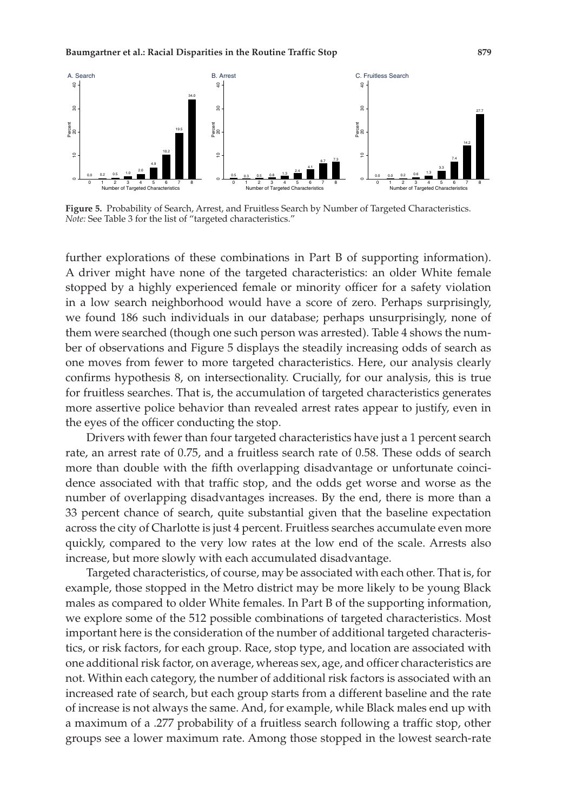

**Figure 5.** Probability of Search, Arrest, and Fruitless Search by Number of Targeted Characteristics. *Note:* See Table 3 for the list of "targeted characteristics."

further explorations of these combinations in Part B of supporting information). A driver might have none of the targeted characteristics: an older White female stopped by a highly experienced female or minority officer for a safety violation in a low search neighborhood would have a score of zero. Perhaps surprisingly, we found 186 such individuals in our database; perhaps unsurprisingly, none of them were searched (though one such person was arrested). Table 4 shows the number of observations and Figure 5 displays the steadily increasing odds of search as one moves from fewer to more targeted characteristics. Here, our analysis clearly confirms hypothesis 8, on intersectionality. Crucially, for our analysis, this is true for fruitless searches. That is, the accumulation of targeted characteristics generates more assertive police behavior than revealed arrest rates appear to justify, even in the eyes of the officer conducting the stop.

Drivers with fewer than four targeted characteristics have just a 1 percent search rate, an arrest rate of 0.75, and a fruitless search rate of 0.58. These odds of search more than double with the fifth overlapping disadvantage or unfortunate coincidence associated with that traffic stop, and the odds get worse and worse as the number of overlapping disadvantages increases. By the end, there is more than a 33 percent chance of search, quite substantial given that the baseline expectation across the city of Charlotte is just 4 percent. Fruitless searches accumulate even more quickly, compared to the very low rates at the low end of the scale. Arrests also increase, but more slowly with each accumulated disadvantage.

Targeted characteristics, of course, may be associated with each other. That is, for example, those stopped in the Metro district may be more likely to be young Black males as compared to older White females. In Part B of the supporting information, we explore some of the 512 possible combinations of targeted characteristics. Most important here is the consideration of the number of additional targeted characteristics, or risk factors, for each group. Race, stop type, and location are associated with one additional risk factor, on average, whereas sex, age, and officer characteristics are not. Within each category, the number of additional risk factors is associated with an increased rate of search, but each group starts from a different baseline and the rate of increase is not always the same. And, for example, while Black males end up with a maximum of a .277 probability of a fruitless search following a traffic stop, other groups see a lower maximum rate. Among those stopped in the lowest search-rate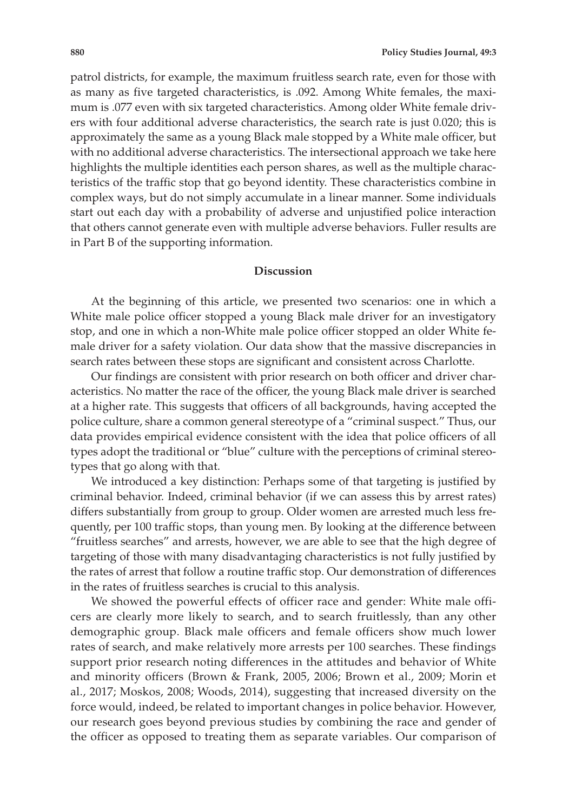patrol districts, for example, the maximum fruitless search rate, even for those with as many as five targeted characteristics, is .092. Among White females, the maximum is .077 even with six targeted characteristics. Among older White female drivers with four additional adverse characteristics, the search rate is just 0.020; this is approximately the same as a young Black male stopped by a White male officer, but with no additional adverse characteristics. The intersectional approach we take here highlights the multiple identities each person shares, as well as the multiple characteristics of the traffic stop that go beyond identity. These characteristics combine in complex ways, but do not simply accumulate in a linear manner. Some individuals start out each day with a probability of adverse and unjustified police interaction that others cannot generate even with multiple adverse behaviors. Fuller results are in Part B of the supporting information.

#### **Discussion**

At the beginning of this article, we presented two scenarios: one in which a White male police officer stopped a young Black male driver for an investigatory stop, and one in which a non-White male police officer stopped an older White female driver for a safety violation. Our data show that the massive discrepancies in search rates between these stops are significant and consistent across Charlotte.

Our findings are consistent with prior research on both officer and driver characteristics. No matter the race of the officer, the young Black male driver is searched at a higher rate. This suggests that officers of all backgrounds, having accepted the police culture, share a common general stereotype of a "criminal suspect." Thus, our data provides empirical evidence consistent with the idea that police officers of all types adopt the traditional or "blue" culture with the perceptions of criminal stereotypes that go along with that.

We introduced a key distinction: Perhaps some of that targeting is justified by criminal behavior. Indeed, criminal behavior (if we can assess this by arrest rates) differs substantially from group to group. Older women are arrested much less frequently, per 100 traffic stops, than young men. By looking at the difference between "fruitless searches" and arrests, however, we are able to see that the high degree of targeting of those with many disadvantaging characteristics is not fully justified by the rates of arrest that follow a routine traffic stop. Our demonstration of differences in the rates of fruitless searches is crucial to this analysis.

We showed the powerful effects of officer race and gender: White male officers are clearly more likely to search, and to search fruitlessly, than any other demographic group. Black male officers and female officers show much lower rates of search, and make relatively more arrests per 100 searches. These findings support prior research noting differences in the attitudes and behavior of White and minority officers (Brown & Frank, 2005, 2006; Brown et al., 2009; Morin et al., 2017; Moskos, 2008; Woods, 2014), suggesting that increased diversity on the force would, indeed, be related to important changes in police behavior. However, our research goes beyond previous studies by combining the race and gender of the officer as opposed to treating them as separate variables. Our comparison of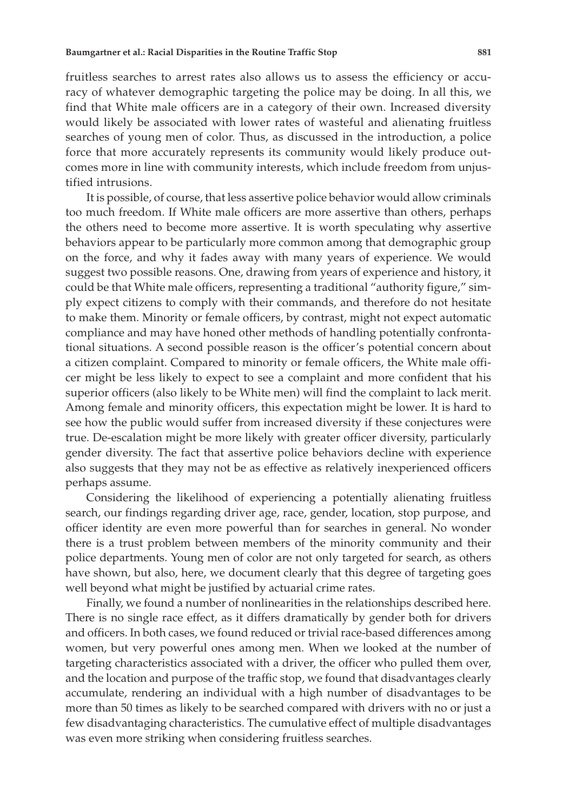fruitless searches to arrest rates also allows us to assess the efficiency or accuracy of whatever demographic targeting the police may be doing. In all this, we find that White male officers are in a category of their own. Increased diversity would likely be associated with lower rates of wasteful and alienating fruitless searches of young men of color. Thus, as discussed in the introduction, a police force that more accurately represents its community would likely produce outcomes more in line with community interests, which include freedom from unjustified intrusions.

It is possible, of course, that less assertive police behavior would allow criminals too much freedom. If White male officers are more assertive than others, perhaps the others need to become more assertive. It is worth speculating why assertive behaviors appear to be particularly more common among that demographic group on the force, and why it fades away with many years of experience. We would suggest two possible reasons. One, drawing from years of experience and history, it could be that White male officers, representing a traditional "authority figure," simply expect citizens to comply with their commands, and therefore do not hesitate to make them. Minority or female officers, by contrast, might not expect automatic compliance and may have honed other methods of handling potentially confrontational situations. A second possible reason is the officer's potential concern about a citizen complaint. Compared to minority or female officers, the White male officer might be less likely to expect to see a complaint and more confident that his superior officers (also likely to be White men) will find the complaint to lack merit. Among female and minority officers, this expectation might be lower. It is hard to see how the public would suffer from increased diversity if these conjectures were true. De-escalation might be more likely with greater officer diversity, particularly gender diversity. The fact that assertive police behaviors decline with experience also suggests that they may not be as effective as relatively inexperienced officers perhaps assume.

Considering the likelihood of experiencing a potentially alienating fruitless search, our findings regarding driver age, race, gender, location, stop purpose, and officer identity are even more powerful than for searches in general. No wonder there is a trust problem between members of the minority community and their police departments. Young men of color are not only targeted for search, as others have shown, but also, here, we document clearly that this degree of targeting goes well beyond what might be justified by actuarial crime rates.

Finally, we found a number of nonlinearities in the relationships described here. There is no single race effect, as it differs dramatically by gender both for drivers and officers. In both cases, we found reduced or trivial race-based differences among women, but very powerful ones among men. When we looked at the number of targeting characteristics associated with a driver, the officer who pulled them over, and the location and purpose of the traffic stop, we found that disadvantages clearly accumulate, rendering an individual with a high number of disadvantages to be more than 50 times as likely to be searched compared with drivers with no or just a few disadvantaging characteristics. The cumulative effect of multiple disadvantages was even more striking when considering fruitless searches.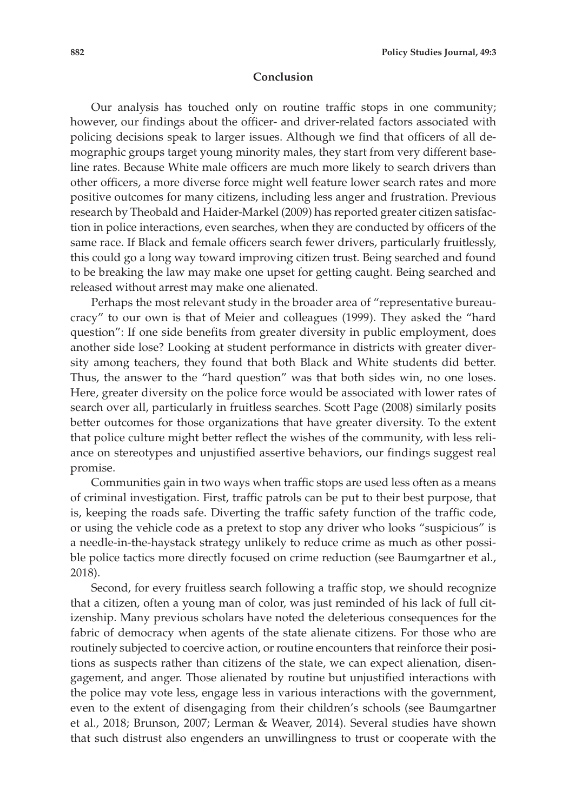### **Conclusion**

Our analysis has touched only on routine traffic stops in one community; however, our findings about the officer- and driver-related factors associated with policing decisions speak to larger issues. Although we find that officers of all demographic groups target young minority males, they start from very different baseline rates. Because White male officers are much more likely to search drivers than other officers, a more diverse force might well feature lower search rates and more positive outcomes for many citizens, including less anger and frustration. Previous research by Theobald and Haider-Markel (2009) has reported greater citizen satisfaction in police interactions, even searches, when they are conducted by officers of the same race. If Black and female officers search fewer drivers, particularly fruitlessly, this could go a long way toward improving citizen trust. Being searched and found to be breaking the law may make one upset for getting caught. Being searched and released without arrest may make one alienated.

Perhaps the most relevant study in the broader area of "representative bureaucracy" to our own is that of Meier and colleagues (1999). They asked the "hard question": If one side benefits from greater diversity in public employment, does another side lose? Looking at student performance in districts with greater diversity among teachers, they found that both Black and White students did better. Thus, the answer to the "hard question" was that both sides win, no one loses. Here, greater diversity on the police force would be associated with lower rates of search over all, particularly in fruitless searches. Scott Page (2008) similarly posits better outcomes for those organizations that have greater diversity. To the extent that police culture might better reflect the wishes of the community, with less reliance on stereotypes and unjustified assertive behaviors, our findings suggest real promise.

Communities gain in two ways when traffic stops are used less often as a means of criminal investigation. First, traffic patrols can be put to their best purpose, that is, keeping the roads safe. Diverting the traffic safety function of the traffic code, or using the vehicle code as a pretext to stop any driver who looks "suspicious" is a needle-in-the-haystack strategy unlikely to reduce crime as much as other possible police tactics more directly focused on crime reduction (see Baumgartner et al., 2018).

Second, for every fruitless search following a traffic stop, we should recognize that a citizen, often a young man of color, was just reminded of his lack of full citizenship. Many previous scholars have noted the deleterious consequences for the fabric of democracy when agents of the state alienate citizens. For those who are routinely subjected to coercive action, or routine encounters that reinforce their positions as suspects rather than citizens of the state, we can expect alienation, disengagement, and anger. Those alienated by routine but unjustified interactions with the police may vote less, engage less in various interactions with the government, even to the extent of disengaging from their children's schools (see Baumgartner et al., 2018; Brunson, 2007; Lerman & Weaver, 2014). Several studies have shown that such distrust also engenders an unwillingness to trust or cooperate with the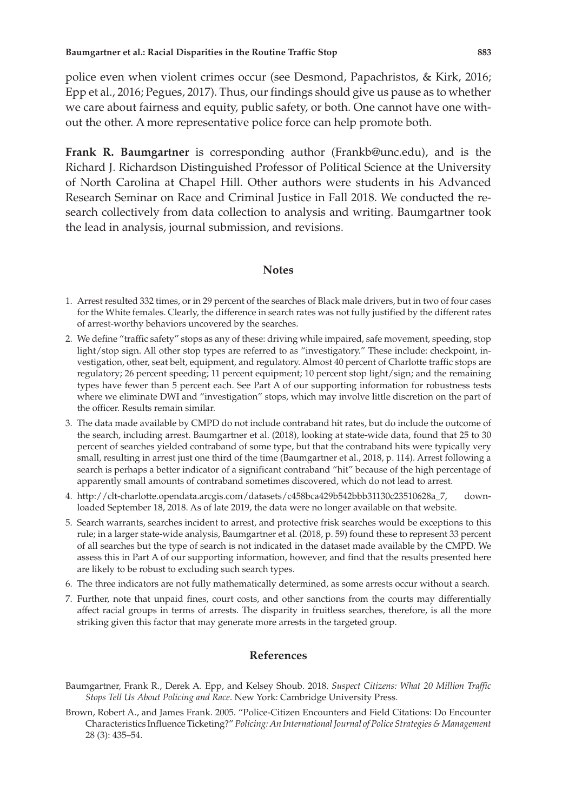police even when violent crimes occur (see Desmond, Papachristos, & Kirk, 2016; Epp et al., 2016; Pegues, 2017). Thus, our findings should give us pause as to whether we care about fairness and equity, public safety, or both. One cannot have one without the other. A more representative police force can help promote both.

**Frank R. Baumgartner** is corresponding author ([Frankb@unc.edu\)](mailto:Frankb@unc.edu), and is the Richard J. Richardson Distinguished Professor of Political Science at the University of North Carolina at Chapel Hill. Other authors were students in his Advanced Research Seminar on Race and Criminal Justice in Fall 2018. We conducted the research collectively from data collection to analysis and writing. Baumgartner took the lead in analysis, journal submission, and revisions.

#### **Notes**

- 1. Arrest resulted 332 times, or in 29 percent of the searches of Black male drivers, but in two of four cases for the White females. Clearly, the difference in search rates was not fully justified by the different rates of arrest-worthy behaviors uncovered by the searches.
- 2. We define "traffic safety" stops as any of these: driving while impaired, safe movement, speeding, stop light/stop sign. All other stop types are referred to as "investigatory." These include: checkpoint, investigation, other, seat belt, equipment, and regulatory. Almost 40 percent of Charlotte traffic stops are regulatory; 26 percent speeding; 11 percent equipment; 10 percent stop light/sign; and the remaining types have fewer than 5 percent each. See Part A of our supporting information for robustness tests where we eliminate DWI and "investigation" stops, which may involve little discretion on the part of the officer. Results remain similar.
- 3. The data made available by CMPD do not include contraband hit rates, but do include the outcome of the search, including arrest. Baumgartner et al. (2018), looking at state-wide data, found that 25 to 30 percent of searches yielded contraband of some type, but that the contraband hits were typically very small, resulting in arrest just one third of the time (Baumgartner et al., 2018, p. 114). Arrest following a search is perhaps a better indicator of a significant contraband "hit" because of the high percentage of apparently small amounts of contraband sometimes discovered, which do not lead to arrest.
- 4. [http://clt-charlotte.opendata.arcgis.com/datasets/c458bca429b542bbb31130c23510628a\\_7,](http://clt-charlotte.opendata.arcgis.com/datasets/c458bca429b542bbb31130c23510628a_7) downloaded September 18, 2018. As of late 2019, the data were no longer available on that website.
- 5. Search warrants, searches incident to arrest, and protective frisk searches would be exceptions to this rule; in a larger state-wide analysis, Baumgartner et al. (2018, p. 59) found these to represent 33 percent of all searches but the type of search is not indicated in the dataset made available by the CMPD. We assess this in Part A of our supporting information, however, and find that the results presented here are likely to be robust to excluding such search types.
- 6. The three indicators are not fully mathematically determined, as some arrests occur without a search.
- 7. Further, note that unpaid fines, court costs, and other sanctions from the courts may differentially affect racial groups in terms of arrests. The disparity in fruitless searches, therefore, is all the more striking given this factor that may generate more arrests in the targeted group.

## **References**

Baumgartner, Frank R., Derek A. Epp, and Kelsey Shoub. 2018. *Suspect Citizens: What 20 Million Traffic Stops Tell Us About Policing and Race*. New York: Cambridge University Press.

Brown, Robert A., and James Frank. 2005. "Police-Citizen Encounters and Field Citations: Do Encounter Characteristics Influence Ticketing?" *Policing: An International Journal of Police Strategies & Management* 28 (3): 435–54.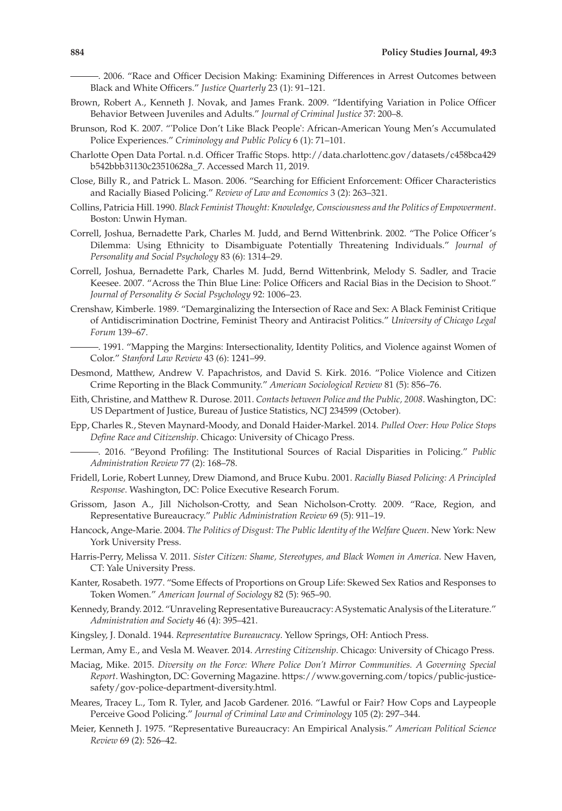. 2006. "Race and Officer Decision Making: Examining Differences in Arrest Outcomes between Black and White Officers." *Justice Quarterly* 23 (1): 91–121.

- Brown, Robert A., Kenneth J. Novak, and James Frank. 2009. "Identifying Variation in Police Officer Behavior Between Juveniles and Adults." *Journal of Criminal Justice* 37: 200–8.
- Brunson, Rod K. 2007. "'Police Don't Like Black People': African-American Young Men's Accumulated Police Experiences." *Criminology and Public Policy* 6 (1): 71–101.
- Charlotte Open Data Portal. n.d. Officer Traffic Stops. [http://data.charlottenc.gov/datasets/c458bca429](http://data.charlottenc.gov/datasets/c458bca429b542bbb31130c23510628a_7) [b542bbb31130c23510628a\\_7](http://data.charlottenc.gov/datasets/c458bca429b542bbb31130c23510628a_7). Accessed March 11, 2019.
- Close, Billy R., and Patrick L. Mason. 2006. "Searching for Efficient Enforcement: Officer Characteristics and Racially Biased Policing." *Review of Law and Economics* 3 (2): 263–321.
- Collins, Patricia Hill. 1990. *Black Feminist Thought: Knowledge, Consciousness and the Politics of Empowerment*. Boston: Unwin Hyman.
- Correll, Joshua, Bernadette Park, Charles M. Judd, and Bernd Wittenbrink. 2002. "The Police Officer's Dilemma: Using Ethnicity to Disambiguate Potentially Threatening Individuals." *Journal of Personality and Social Psychology* 83 (6): 1314–29.
- Correll, Joshua, Bernadette Park, Charles M. Judd, Bernd Wittenbrink, Melody S. Sadler, and Tracie Keesee. 2007. "Across the Thin Blue Line: Police Officers and Racial Bias in the Decision to Shoot." *Journal of Personality & Social Psychology* 92: 1006–23.
- Crenshaw, Kimberle. 1989. "Demarginalizing the Intersection of Race and Sex: A Black Feminist Critique of Antidiscrimination Doctrine, Feminist Theory and Antiracist Politics." *University of Chicago Legal Forum* 139–67.
	- . 1991. "Mapping the Margins: Intersectionality, Identity Politics, and Violence against Women of Color." *Stanford Law Review* 43 (6): 1241–99.
- Desmond, Matthew, Andrew V. Papachristos, and David S. Kirk. 2016. "Police Violence and Citizen Crime Reporting in the Black Community." *American Sociological Review* 81 (5): 856–76.
- Eith, Christine, and Matthew R. Durose. 2011. *Contacts between Police and the Public, 2008*. Washington, DC: US Department of Justice, Bureau of Justice Statistics, NCJ 234599 (October).
- Epp, Charles R., Steven Maynard-Moody, and Donald Haider-Markel. 2014. *Pulled Over: How Police Stops Define Race and Citizenship*. Chicago: University of Chicago Press.
	- . 2016. "Beyond Profiling: The Institutional Sources of Racial Disparities in Policing." *Public Administration Review* 77 (2): 168–78.
- Fridell, Lorie, Robert Lunney, Drew Diamond, and Bruce Kubu. 2001. *Racially Biased Policing: A Principled Response*. Washington, DC: Police Executive Research Forum.
- Grissom, Jason A., Jill Nicholson-Crotty, and Sean Nicholson-Crotty. 2009. "Race, Region, and Representative Bureaucracy." *Public Administration Review* 69 (5): 911–19.
- Hancock, Ange-Marie. 2004. *The Politics of Disgust: The Public Identity of the Welfare Queen*. New York: New York University Press.
- Harris-Perry, Melissa V. 2011. *Sister Citizen: Shame, Stereotypes, and Black Women in America*. New Haven, CT: Yale University Press.
- Kanter, Rosabeth. 1977. "Some Effects of Proportions on Group Life: Skewed Sex Ratios and Responses to Token Women." *American Journal of Sociology* 82 (5): 965–90.
- Kennedy, Brandy. 2012. "Unraveling Representative Bureaucracy: A Systematic Analysis of the Literature." *Administration and Society* 46 (4): 395–421.
- Kingsley, J. Donald. 1944. *Representative Bureaucracy*. Yellow Springs, OH: Antioch Press.
- Lerman, Amy E., and Vesla M. Weaver. 2014. *Arresting Citizenship*. Chicago: University of Chicago Press.
- Maciag, Mike. 2015. *Diversity on the Force: Where Police Don't Mirror Communities. A Governing Special Report*. Washington, DC: Governing Magazine. [https://www.governing.com/topics/public-justice](https://www.governing.com/topics/public-justice-safety/gov-police-department-diversity.html)[safety/gov-police-department-diversity.html](https://www.governing.com/topics/public-justice-safety/gov-police-department-diversity.html).
- Meares, Tracey L., Tom R. Tyler, and Jacob Gardener. 2016. "Lawful or Fair? How Cops and Laypeople Perceive Good Policing." *Journal of Criminal Law and Criminology* 105 (2): 297–344.
- Meier, Kenneth J. 1975. "Representative Bureaucracy: An Empirical Analysis." *American Political Science Review* 69 (2): 526–42.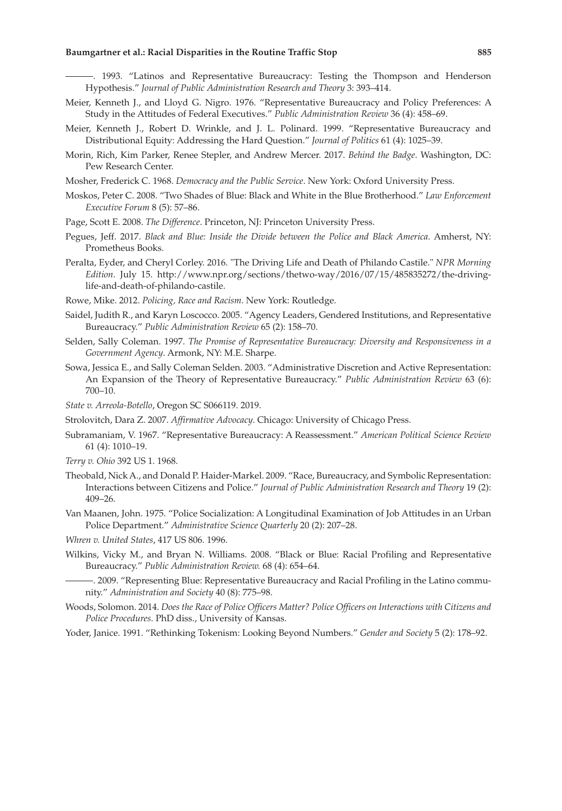#### **Baumgartner et al.: Racial Disparities in the Routine Traffic Stop 885**

- . 1993. "Latinos and Representative Bureaucracy: Testing the Thompson and Henderson Hypothesis." *Journal of Public Administration Research and Theory* 3: 393–414.
- Meier, Kenneth J., and Lloyd G. Nigro. 1976. "Representative Bureaucracy and Policy Preferences: A Study in the Attitudes of Federal Executives." *Public Administration Review* 36 (4): 458–69.
- Meier, Kenneth J., Robert D. Wrinkle, and J. L. Polinard. 1999. "Representative Bureaucracy and Distributional Equity: Addressing the Hard Question." *Journal of Politics* 61 (4): 1025–39.
- Morin, Rich, Kim Parker, Renee Stepler, and Andrew Mercer. 2017. *Behind the Badge*. Washington, DC: Pew Research Center.
- Mosher, Frederick C. 1968. *Democracy and the Public Service*. New York: Oxford University Press.
- Moskos, Peter C. 2008. "Two Shades of Blue: Black and White in the Blue Brotherhood." *Law Enforcement Executive Forum* 8 (5): 57–86.
- Page, Scott E. 2008. *The Difference*. Princeton, NJ: Princeton University Press.
- Pegues, Jeff. 2017. *Black and Blue: Inside the Divide between the Police and Black America*. Amherst, NY: Prometheus Books.
- Peralta, Eyder, and Cheryl Corley. 2016. "The Driving Life and Death of Philando Castile." *NPR Morning Edition*. July 15. [http://www.npr.org/sections/thetwo-way/2016/07/15/485835272/the-driving](http://www.npr.org/sections/thetwo-way/2016/07/15/485835272/the-driving-life-and-death-of-philando-castile)[life-and-death-of-philando-castile](http://www.npr.org/sections/thetwo-way/2016/07/15/485835272/the-driving-life-and-death-of-philando-castile).
- Rowe, Mike. 2012. *Policing, Race and Racism*. New York: Routledge.
- Saidel, Judith R., and Karyn Loscocco. 2005. "Agency Leaders, Gendered Institutions, and Representative Bureaucracy." *Public Administration Review* 65 (2): 158–70.
- Selden, Sally Coleman. 1997. *The Promise of Representative Bureaucracy: Diversity and Responsiveness in a Government Agency*. Armonk, NY: M.E. Sharpe.
- Sowa, Jessica E., and Sally Coleman Selden. 2003. "Administrative Discretion and Active Representation: An Expansion of the Theory of Representative Bureaucracy." *Public Administration Review* 63 (6): 700–10.
- *State v. Arreola-Botello*, Oregon SC S066119. 2019.
- Strolovitch, Dara Z. 2007. *Affirmative Advocacy*. Chicago: University of Chicago Press.
- Subramaniam, V. 1967. "Representative Bureaucracy: A Reassessment." *American Political Science Review* 61 (4): 1010–19.
- *Terry v. Ohio* 392 US 1. 1968.
- Theobald, Nick A., and Donald P. Haider-Markel. 2009. "Race, Bureaucracy, and Symbolic Representation: Interactions between Citizens and Police." *Journal of Public Administration Research and Theory* 19 (2): 409–26.
- Van Maanen, John. 1975. "Police Socialization: A Longitudinal Examination of Job Attitudes in an Urban Police Department." *Administrative Science Quarterly* 20 (2): 207–28.
- *Whren v. United States*, 417 US 806. 1996.
- Wilkins, Vicky M., and Bryan N. Williams. 2008. "Black or Blue: Racial Profiling and Representative Bureaucracy." *Public Administration Review.* 68 (4): 654–64.
	- . 2009. "Representing Blue: Representative Bureaucracy and Racial Profiling in the Latino community." *Administration and Society* 40 (8): 775–98.
- Woods, Solomon. 2014. *Does the Race of Police Officers Matter? Police Officers on Interactions with Citizens and Police Procedures*. PhD diss., University of Kansas.
- Yoder, Janice. 1991. "Rethinking Tokenism: Looking Beyond Numbers." *Gender and Society* 5 (2): 178–92.